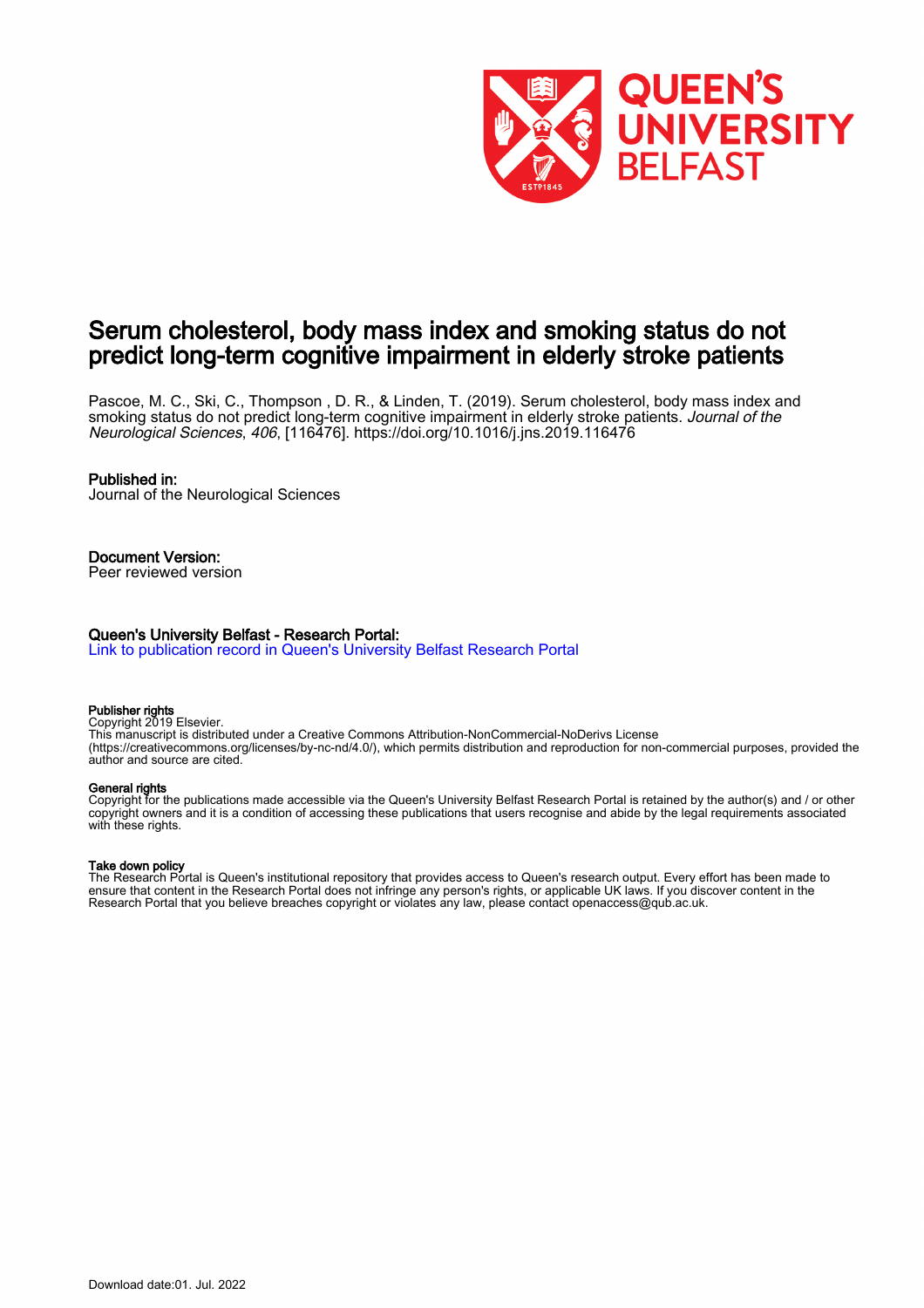

# Serum cholesterol, body mass index and smoking status do not predict long-term cognitive impairment in elderly stroke patients

Pascoe, M. C., Ski, C., Thompson , D. R., & Linden, T. (2019). Serum cholesterol, body mass index and smoking status do not predict long-term cognitive impairment in elderly stroke patients. Journal of the Neurological Sciences, 406, [116476].<https://doi.org/10.1016/j.jns.2019.116476>

#### Published in:

Journal of the Neurological Sciences

# Document Version:

Peer reviewed version

#### Queen's University Belfast - Research Portal:

[Link to publication record in Queen's University Belfast Research Portal](https://pure.qub.ac.uk/en/publications/c6c196d3-f005-4990-8288-92755aaf08b5)

#### Publisher rights

Copyright 2019 Elsevier. This manuscript is distributed under a Creative Commons Attribution-NonCommercial-NoDerivs License

(https://creativecommons.org/licenses/by-nc-nd/4.0/), which permits distribution and reproduction for non-commercial purposes, provided the author and source are cited.

#### General rights

Copyright for the publications made accessible via the Queen's University Belfast Research Portal is retained by the author(s) and / or other copyright owners and it is a condition of accessing these publications that users recognise and abide by the legal requirements associated with these rights.

#### Take down policy

The Research Portal is Queen's institutional repository that provides access to Queen's research output. Every effort has been made to ensure that content in the Research Portal does not infringe any person's rights, or applicable UK laws. If you discover content in the Research Portal that you believe breaches copyright or violates any law, please contact openaccess@qub.ac.uk.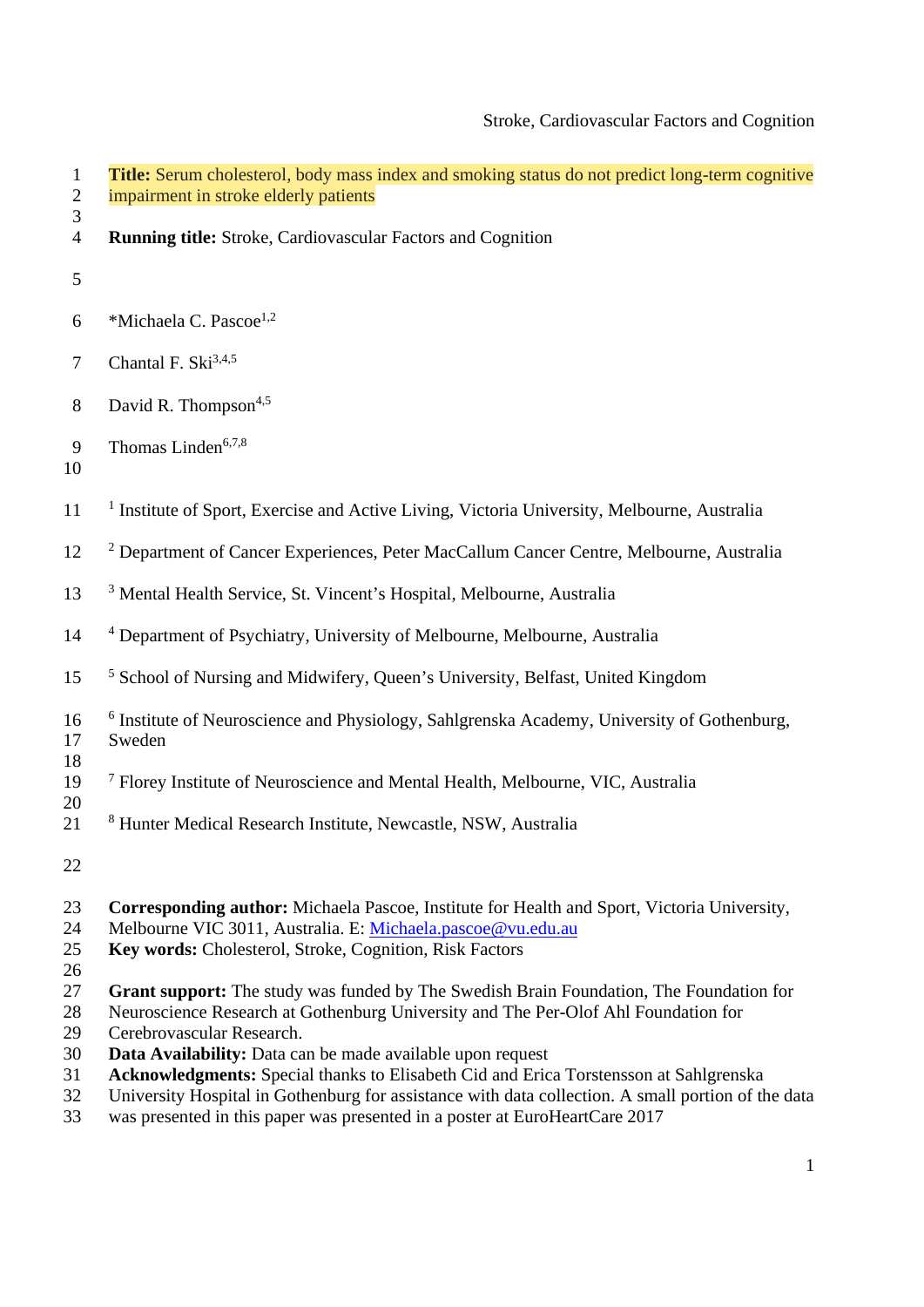| $\mathbf{1}$<br>$\overline{c}$ | Title: Serum cholesterol, body mass index and smoking status do not predict long-term cognitive<br>impairment in stroke elderly patients                                                                                     |
|--------------------------------|------------------------------------------------------------------------------------------------------------------------------------------------------------------------------------------------------------------------------|
| 3<br>$\overline{4}$            | <b>Running title:</b> Stroke, Cardiovascular Factors and Cognition                                                                                                                                                           |
| 5                              |                                                                                                                                                                                                                              |
| 6                              | *Michaela C. Pascoe <sup>1,2</sup>                                                                                                                                                                                           |
| $\overline{7}$                 | Chantal F. Ski <sup>3,4,5</sup>                                                                                                                                                                                              |
| 8                              | David R. Thompson <sup>4,5</sup>                                                                                                                                                                                             |
| 9<br>10                        | Thomas Linden <sup>6,7,8</sup>                                                                                                                                                                                               |
| 11                             | <sup>1</sup> Institute of Sport, Exercise and Active Living, Victoria University, Melbourne, Australia                                                                                                                       |
| 12                             | <sup>2</sup> Department of Cancer Experiences, Peter MacCallum Cancer Centre, Melbourne, Australia                                                                                                                           |
| 13                             | <sup>3</sup> Mental Health Service, St. Vincent's Hospital, Melbourne, Australia                                                                                                                                             |
| 14                             | <sup>4</sup> Department of Psychiatry, University of Melbourne, Melbourne, Australia                                                                                                                                         |
| 15                             | <sup>5</sup> School of Nursing and Midwifery, Queen's University, Belfast, United Kingdom                                                                                                                                    |
| 16<br>17                       | <sup>6</sup> Institute of Neuroscience and Physiology, Sahlgrenska Academy, University of Gothenburg,<br>Sweden                                                                                                              |
| 18<br>19                       | <sup>7</sup> Florey Institute of Neuroscience and Mental Health, Melbourne, VIC, Australia                                                                                                                                   |
| 20<br>21                       | <sup>8</sup> Hunter Medical Research Institute, Newcastle, NSW, Australia                                                                                                                                                    |
| 22                             |                                                                                                                                                                                                                              |
| 23<br>24<br>25<br>26           | <b>Corresponding author:</b> Michaela Pascoe, Institute for Health and Sport, Victoria University,<br>Melbourne VIC 3011, Australia. E: Michaela.pascoe@vu.edu.au<br>Key words: Cholesterol, Stroke, Cognition, Risk Factors |
| 27<br>28<br>29                 | Grant support: The study was funded by The Swedish Brain Foundation, The Foundation for<br>Neuroscience Research at Gothenburg University and The Per-Olof Ahl Foundation for<br>Cerebrovascular Research.                   |

- 30 **Data Availability:** Data can be made available upon request
- 31 **Acknowledgments:** Special thanks to Elisabeth Cid and Erica Torstensson at Sahlgrenska
- 32 University Hospital in Gothenburg for assistance with data collection. A small portion of the data
- 33 was presented in this paper was presented in a poster at EuroHeartCare 2017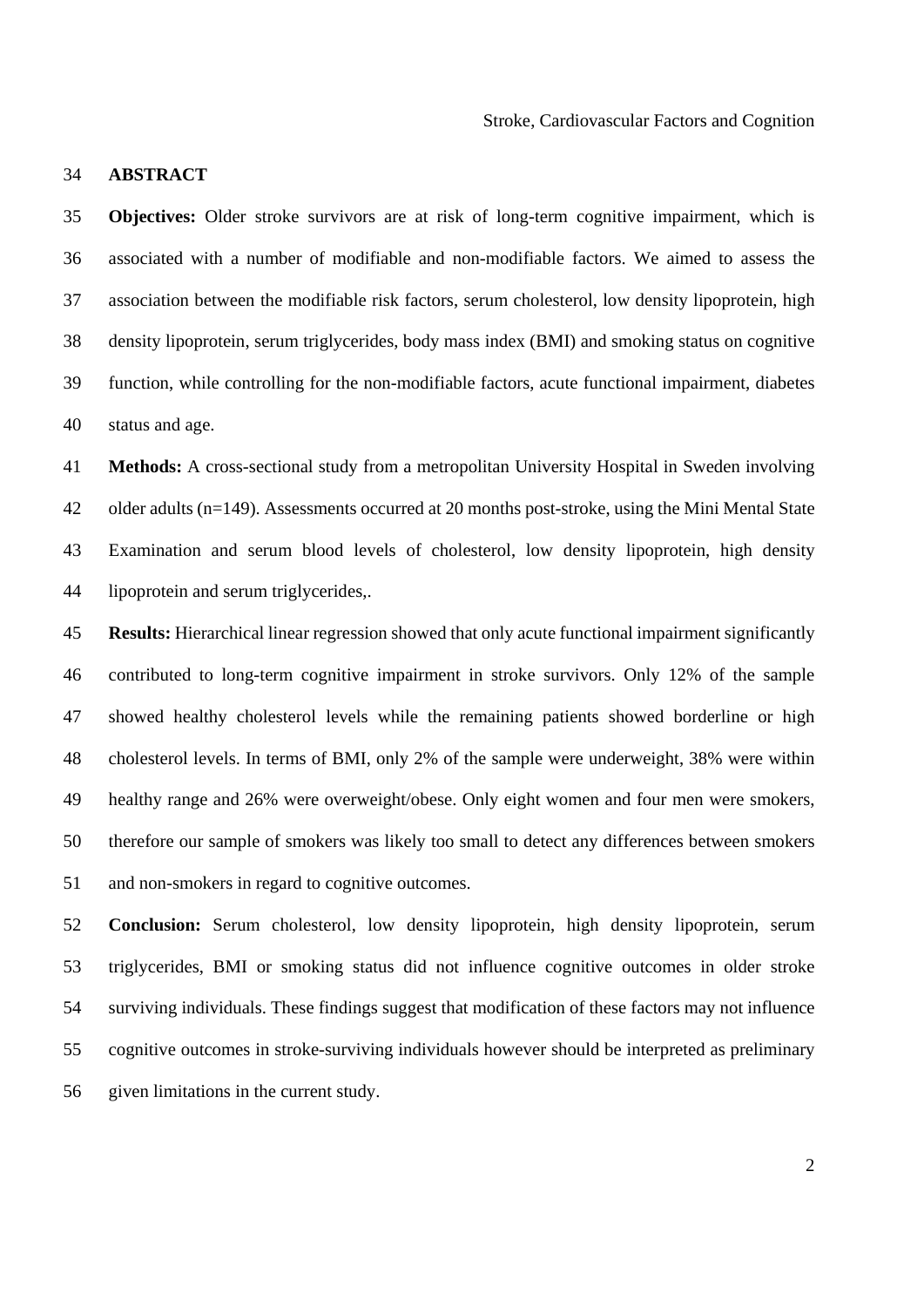### 34 **ABSTRACT**

35 **Objectives:** Older stroke survivors are at risk of long-term cognitive impairment, which is 36 associated with a number of modifiable and non-modifiable factors. We aimed to assess the 37 association between the modifiable risk factors, serum cholesterol, low density lipoprotein, high 38 density lipoprotein, serum triglycerides, body mass index (BMI) and smoking status on cognitive 39 function, while controlling for the non-modifiable factors, acute functional impairment, diabetes 40 status and age.

41 **Methods:** A cross-sectional study from a metropolitan University Hospital in Sweden involving 42 older adults (n=149). Assessments occurred at 20 months post-stroke, using the Mini Mental State 43 Examination and serum blood levels of cholesterol, low density lipoprotein, high density 44 lipoprotein and serum triglycerides,.

45 **Results:** Hierarchical linear regression showed that only acute functional impairment significantly 46 contributed to long-term cognitive impairment in stroke survivors. Only 12% of the sample 47 showed healthy cholesterol levels while the remaining patients showed borderline or high 48 cholesterol levels. In terms of BMI, only 2% of the sample were underweight, 38% were within 49 healthy range and 26% were overweight/obese. Only eight women and four men were smokers, 50 therefore our sample of smokers was likely too small to detect any differences between smokers 51 and non-smokers in regard to cognitive outcomes.

52 **Conclusion:** Serum cholesterol, low density lipoprotein, high density lipoprotein, serum 53 triglycerides, BMI or smoking status did not influence cognitive outcomes in older stroke 54 surviving individuals. These findings suggest that modification of these factors may not influence 55 cognitive outcomes in stroke-surviving individuals however should be interpreted as preliminary 56 given limitations in the current study.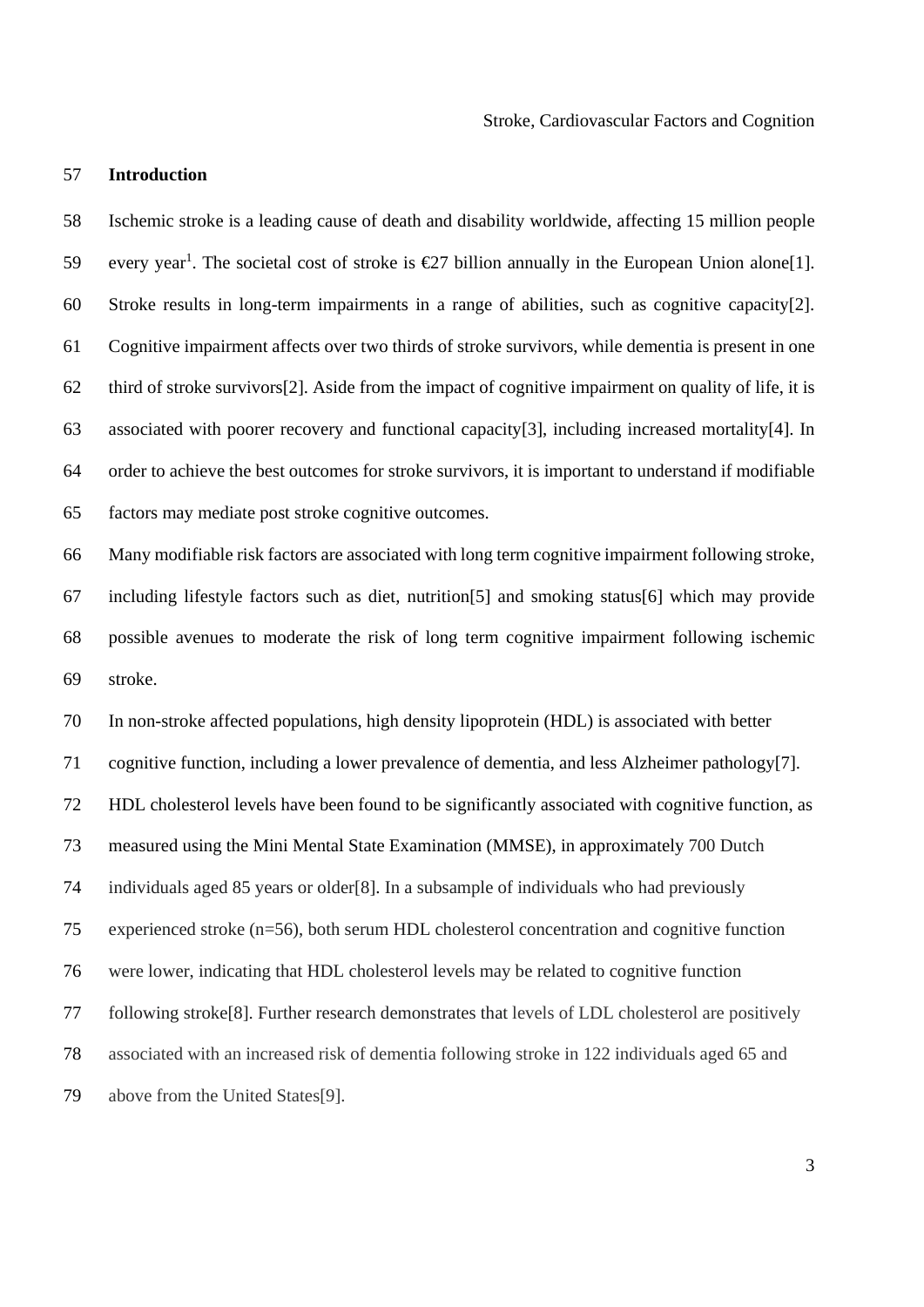### 57 **Introduction**

58 Ischemic stroke is a leading cause of death and disability worldwide, affecting 15 million people 59 every year<sup>1</sup>. The societal cost of stroke is  $\epsilon$ 27 billion annually in the European Union alone[1]. 60 Stroke results in long-term impairments in a range of abilities, such as cognitive capacity[2]. 61 Cognitive impairment affects over two thirds of stroke survivors, while dementia is present in one 62 third of stroke survivors[2]. Aside from the impact of cognitive impairment on quality of life, it is 63 associated with poorer recovery and functional capacity[3], including increased mortality[4]. In 64 order to achieve the best outcomes for stroke survivors, it is important to understand if modifiable 65 factors may mediate post stroke cognitive outcomes.

66 Many modifiable risk factors are associated with long term cognitive impairment following stroke, 67 including lifestyle factors such as diet, nutrition[5] and smoking status[6] which may provide 68 possible avenues to moderate the risk of long term cognitive impairment following ischemic 69 stroke.

70 In non-stroke affected populations, high density lipoprotein (HDL) is associated with better 71 cognitive function, including a lower prevalence of dementia, and less Alzheimer pathology[7]. 72 HDL cholesterol levels have been found to be significantly associated with cognitive function, as 73 measured using the Mini Mental State Examination (MMSE), in approximately 700 Dutch 74 individuals aged 85 years or older[8]. In a subsample of individuals who had previously 75 experienced stroke (n=56), both serum HDL cholesterol concentration and cognitive function 76 were lower, indicating that HDL cholesterol levels may be related to cognitive function 77 following stroke[8]. Further research demonstrates that levels of LDL cholesterol are positively 78 associated with an increased risk of dementia following stroke in 122 individuals aged 65 and 79 above from the United States[9].

3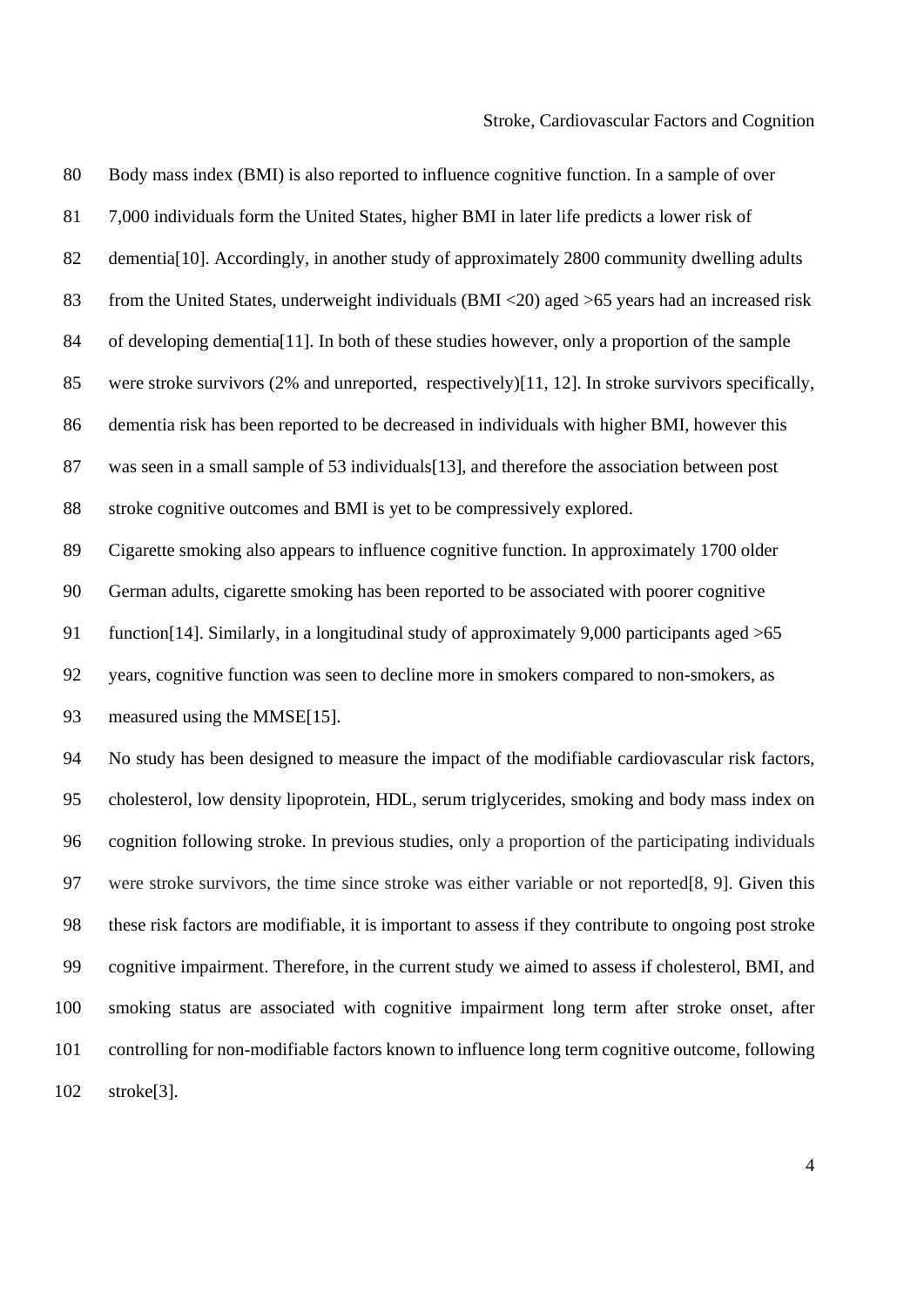| 80  | Body mass index (BMI) is also reported to influence cognitive function. In a sample of over                |
|-----|------------------------------------------------------------------------------------------------------------|
| 81  | 7,000 individuals form the United States, higher BMI in later life predicts a lower risk of                |
| 82  | dementia <sup>[10]</sup> . Accordingly, in another study of approximately 2800 community dwelling adults   |
| 83  | from the United States, underweight individuals (BMI <20) aged >65 years had an increased risk             |
| 84  | of developing dementia <sup>[11]</sup> . In both of these studies however, only a proportion of the sample |
| 85  | were stroke survivors (2% and unreported, respectively)[11, 12]. In stroke survivors specifically,         |
| 86  | dementia risk has been reported to be decreased in individuals with higher BMI, however this               |
| 87  | was seen in a small sample of 53 individuals [13], and therefore the association between post              |
| 88  | stroke cognitive outcomes and BMI is yet to be compressively explored.                                     |
| 89  | Cigarette smoking also appears to influence cognitive function. In approximately 1700 older                |
| 90  | German adults, cigarette smoking has been reported to be associated with poorer cognitive                  |
| 91  | function [14]. Similarly, in a longitudinal study of approximately 9,000 participants aged $>65$           |
| 92  | years, cognitive function was seen to decline more in smokers compared to non-smokers, as                  |
| 93  | measured using the MMSE[15].                                                                               |
| 94  | No study has been designed to measure the impact of the modifiable cardiovascular risk factors,            |
| 95  | cholesterol, low density lipoprotein, HDL, serum triglycerides, smoking and body mass index on             |
| 96  | cognition following stroke. In previous studies, only a proportion of the participating individuals        |
| 97  | were stroke survivors, the time since stroke was either variable or not reported [8, 9]. Given this        |
| 98  | these risk factors are modifiable, it is important to assess if they contribute to ongoing post stroke     |
| 99  | cognitive impairment. Therefore, in the current study we aimed to assess if cholesterol, BMI, and          |
| 100 | smoking status are associated with cognitive impairment long term after stroke onset, after                |
| 101 | controlling for non-modifiable factors known to influence long term cognitive outcome, following           |
| 102 | stroke <sup>[3]</sup> .                                                                                    |
|     |                                                                                                            |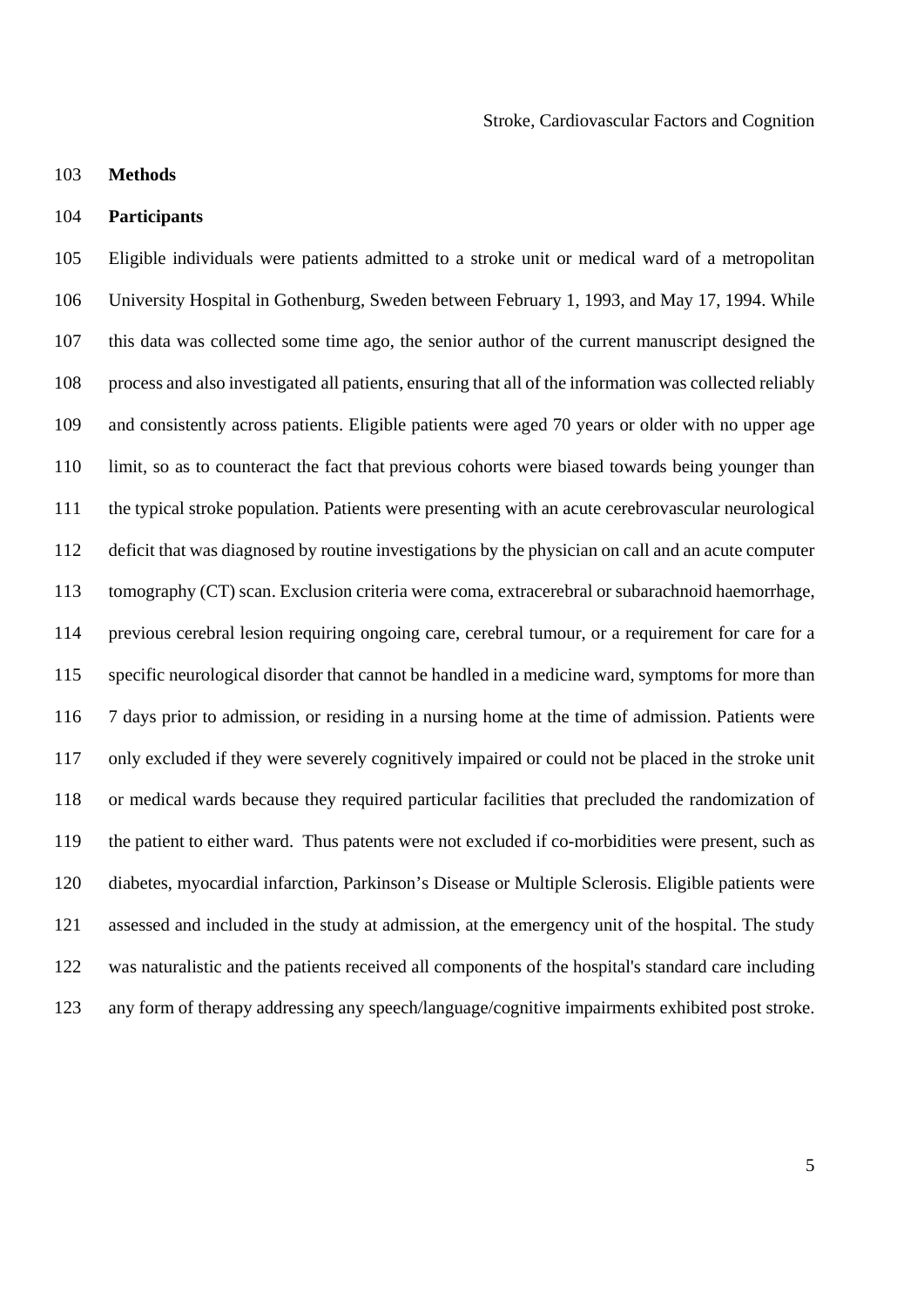## 103 **Methods**

## 104 **Participants**

105 Eligible individuals were patients admitted to a stroke unit or medical ward of a metropolitan 106 University Hospital in Gothenburg, Sweden between February 1, 1993, and May 17, 1994. While 107 this data was collected some time ago, the senior author of the current manuscript designed the 108 process and also investigated all patients, ensuring that all of the information was collected reliably 109 and consistently across patients. Eligible patients were aged 70 years or older with no upper age 110 limit, so as to counteract the fact that previous cohorts were biased towards being younger than 111 the typical stroke population. Patients were presenting with an acute cerebrovascular neurological 112 deficit that was diagnosed by routine investigations by the physician on call and an acute computer 113 tomography (CT) scan. Exclusion criteria were coma, extracerebral or subarachnoid haemorrhage, 114 previous cerebral lesion requiring ongoing care, cerebral tumour, or a requirement for care for a 115 specific neurological disorder that cannot be handled in a medicine ward, symptoms for more than 116 7 days prior to admission, or residing in a nursing home at the time of admission. Patients were 117 only excluded if they were severely cognitively impaired or could not be placed in the stroke unit 118 or medical wards because they required particular facilities that precluded the randomization of 119 the patient to either ward. Thus patents were not excluded if co-morbidities were present, such as 120 diabetes, myocardial infarction, Parkinson's Disease or Multiple Sclerosis. Eligible patients were 121 assessed and included in the study at admission, at the emergency unit of the hospital. The study 122 was naturalistic and the patients received all components of the hospital's standard care including 123 any form of therapy addressing any speech/language/cognitive impairments exhibited post stroke.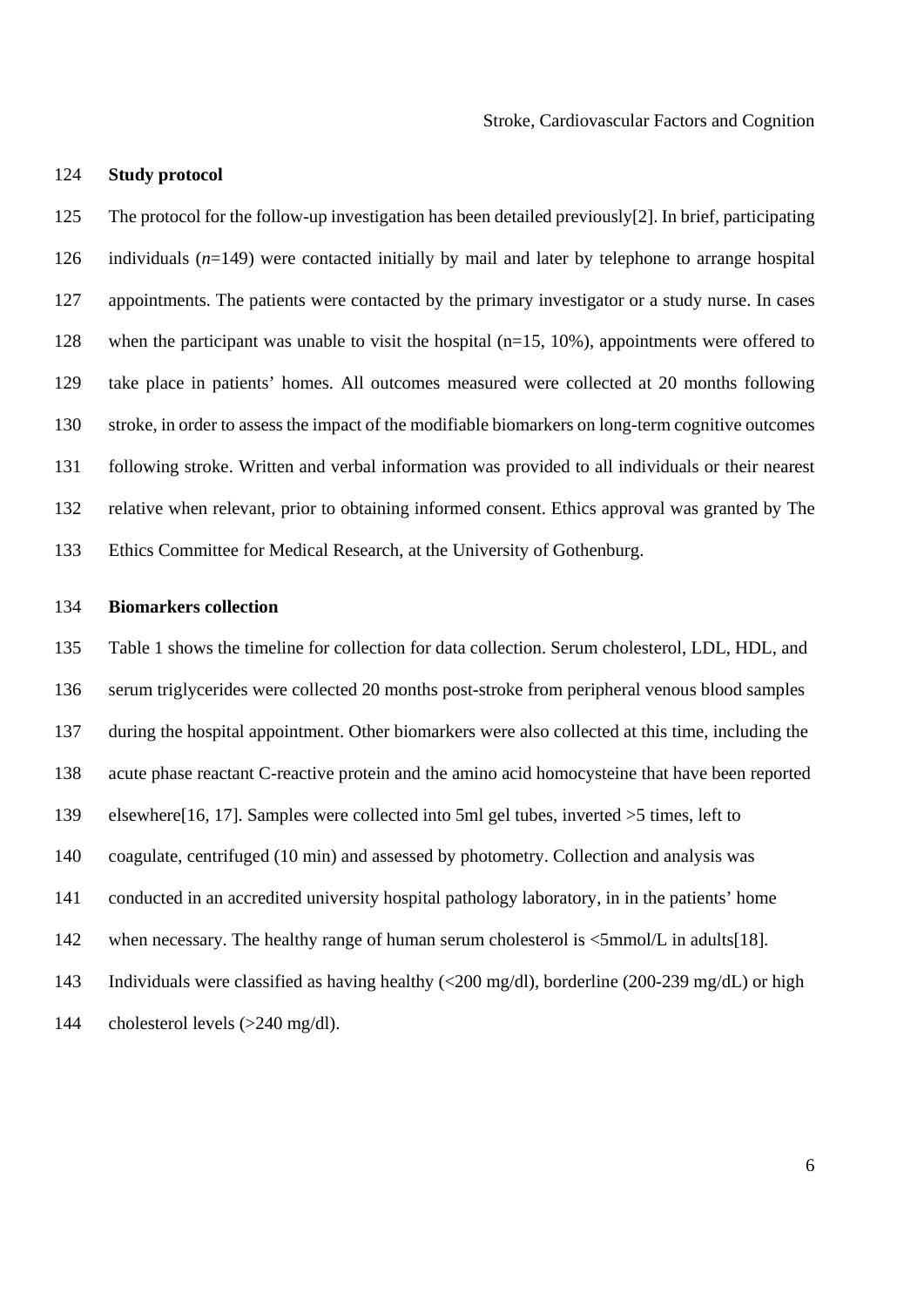Stroke, Cardiovascular Factors and Cognition

### 124 **Study protocol**

125 The protocol for the follow-up investigation has been detailed previously[2]. In brief, participating 126 individuals (*n*=149) were contacted initially by mail and later by telephone to arrange hospital 127 appointments. The patients were contacted by the primary investigator or a study nurse. In cases 128 when the participant was unable to visit the hospital (n=15, 10%), appointments were offered to 129 take place in patients' homes. All outcomes measured were collected at 20 months following 130 stroke, in order to assess the impact of the modifiable biomarkers on long-term cognitive outcomes 131 following stroke. Written and verbal information was provided to all individuals or their nearest 132 relative when relevant, prior to obtaining informed consent. Ethics approval was granted by The 133 Ethics Committee for Medical Research, at the University of Gothenburg.

# 134 **Biomarkers collection**

135 Table 1 shows the timeline for collection for data collection. Serum cholesterol, LDL, HDL, and 136 serum triglycerides were collected 20 months post-stroke from peripheral venous blood samples 137 during the hospital appointment. Other biomarkers were also collected at this time, including the 138 acute phase reactant C-reactive protein and the amino acid homocysteine that have been reported 139 elsewhere[16, 17]. Samples were collected into 5ml gel tubes, inverted >5 times, left to 140 coagulate, centrifuged (10 min) and assessed by photometry. Collection and analysis was 141 conducted in an accredited university hospital pathology laboratory, in in the patients' home 142 when necessary. The healthy range of human serum cholesterol is  $\leq 5$ mmol/L in adults[18]. 143 Individuals were classified as having healthy (<200 mg/dl), borderline (200-239 mg/dL) or high 144 cholesterol levels (>240 mg/dl).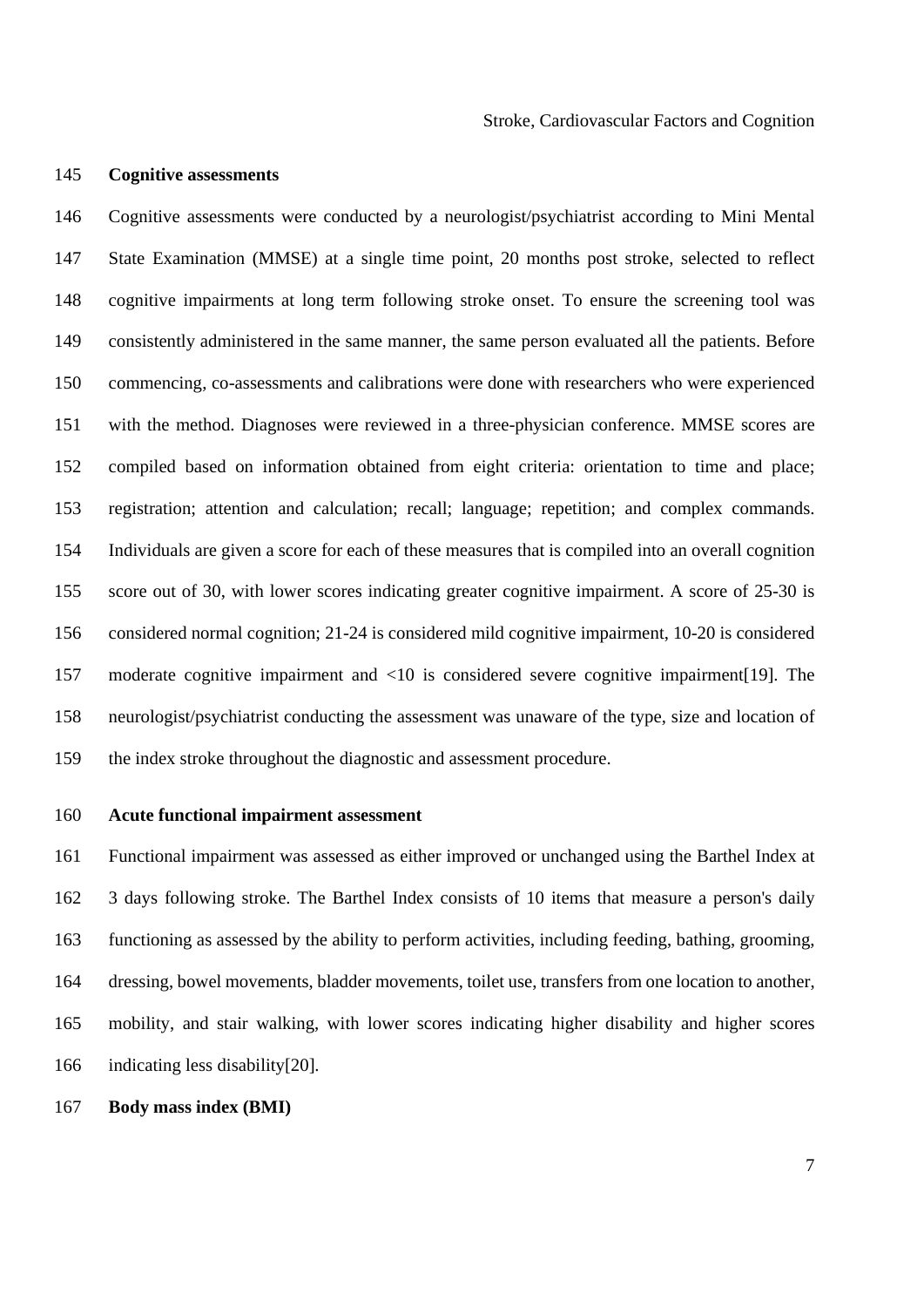#### 145 **Cognitive assessments**

146 Cognitive assessments were conducted by a neurologist/psychiatrist according to Mini Mental 147 State Examination (MMSE) at a single time point, 20 months post stroke, selected to reflect 148 cognitive impairments at long term following stroke onset. To ensure the screening tool was 149 consistently administered in the same manner, the same person evaluated all the patients. Before 150 commencing, co-assessments and calibrations were done with researchers who were experienced 151 with the method. Diagnoses were reviewed in a three-physician conference. MMSE scores are 152 compiled based on information obtained from eight criteria: orientation to time and place; 153 registration; attention and calculation; recall; language; repetition; and complex commands. 154 Individuals are given a score for each of these measures that is compiled into an overall cognition 155 score out of 30, with lower scores indicating greater cognitive impairment. A score of 25-30 is 156 considered normal cognition; 21-24 is considered mild cognitive impairment, 10-20 is considered 157 moderate cognitive impairment and <10 is considered severe cognitive impairment[19]. The 158 neurologist/psychiatrist conducting the assessment was unaware of the type, size and location of 159 the index stroke throughout the diagnostic and assessment procedure.

#### 160 **Acute functional impairment assessment**

161 Functional impairment was assessed as either improved or unchanged using the Barthel Index at 162 3 days following stroke. The Barthel Index consists of 10 items that measure a person's daily 163 functioning as assessed by the ability to perform activities, including feeding, bathing, grooming, 164 dressing, bowel movements, bladder movements, toilet use, transfers from one location to another, 165 mobility, and stair walking, with lower scores indicating higher disability and higher scores 166 indicating less disability[20].

### 167 **Body mass index (BMI)**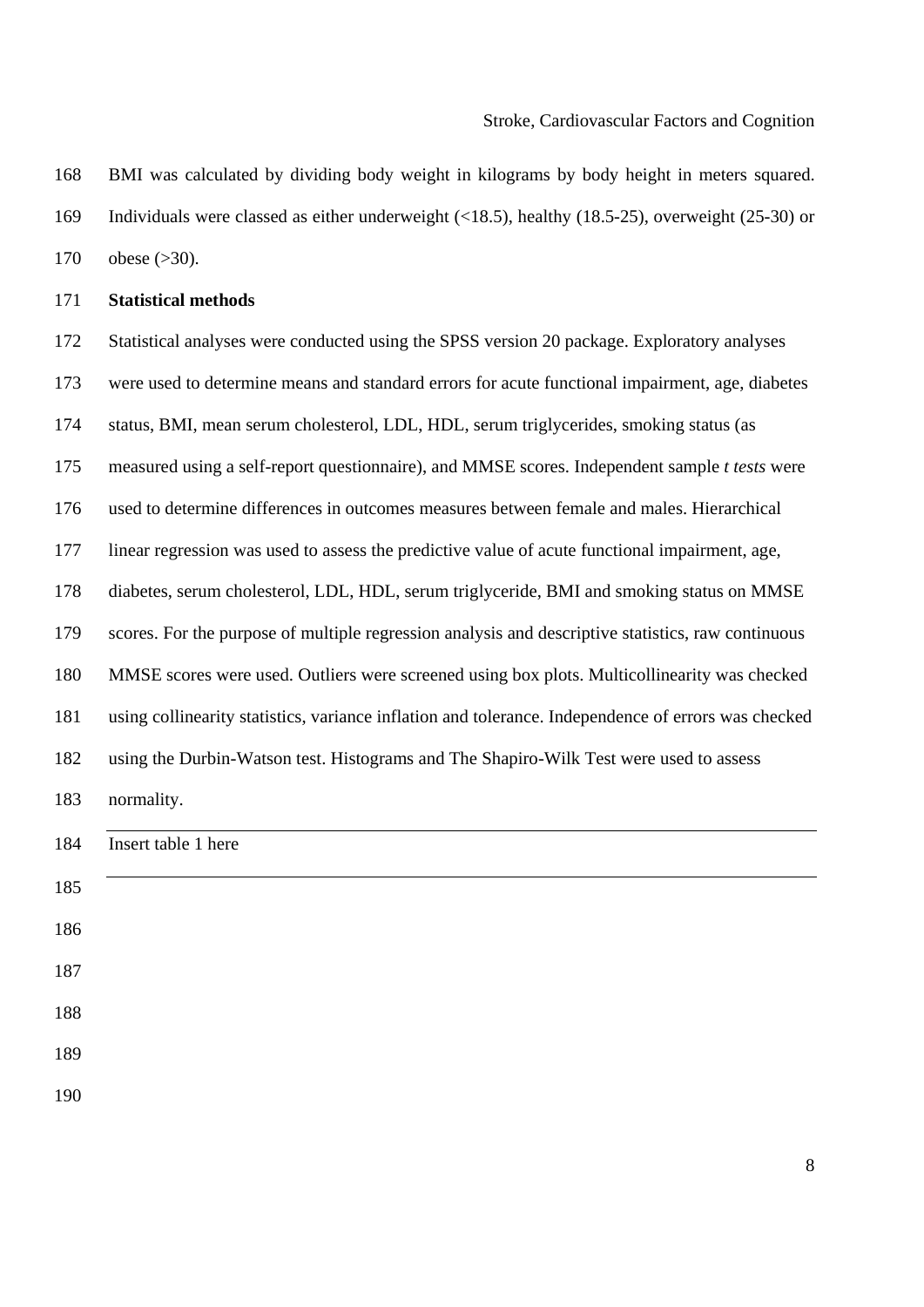### Stroke, Cardiovascular Factors and Cognition

168 BMI was calculated by dividing body weight in kilograms by body height in meters squared. 169 Individuals were classed as either underweight (<18.5), healthy (18.5-25), overweight (25-30) or 170 obese (>30).

## 171 **Statistical methods**

172 Statistical analyses were conducted using the SPSS version 20 package. Exploratory analyses 173 were used to determine means and standard errors for acute functional impairment, age, diabetes 174 status, BMI, mean serum cholesterol, LDL, HDL, serum triglycerides, smoking status (as 175 measured using a self-report questionnaire), and MMSE scores. Independent sample *t tests* were 176 used to determine differences in outcomes measures between female and males. Hierarchical 177 linear regression was used to assess the predictive value of acute functional impairment, age, 178 diabetes, serum cholesterol, LDL, HDL, serum triglyceride, BMI and smoking status on MMSE 179 scores. For the purpose of multiple regression analysis and descriptive statistics, raw continuous 180 MMSE scores were used. Outliers were screened using box plots. Multicollinearity was checked 181 using collinearity statistics, variance inflation and tolerance. Independence of errors was checked 182 using the Durbin-Watson test. Histograms and The Shapiro-Wilk Test were used to assess 183 normality. 184 Insert table 1 here 185 186 187 188 189 190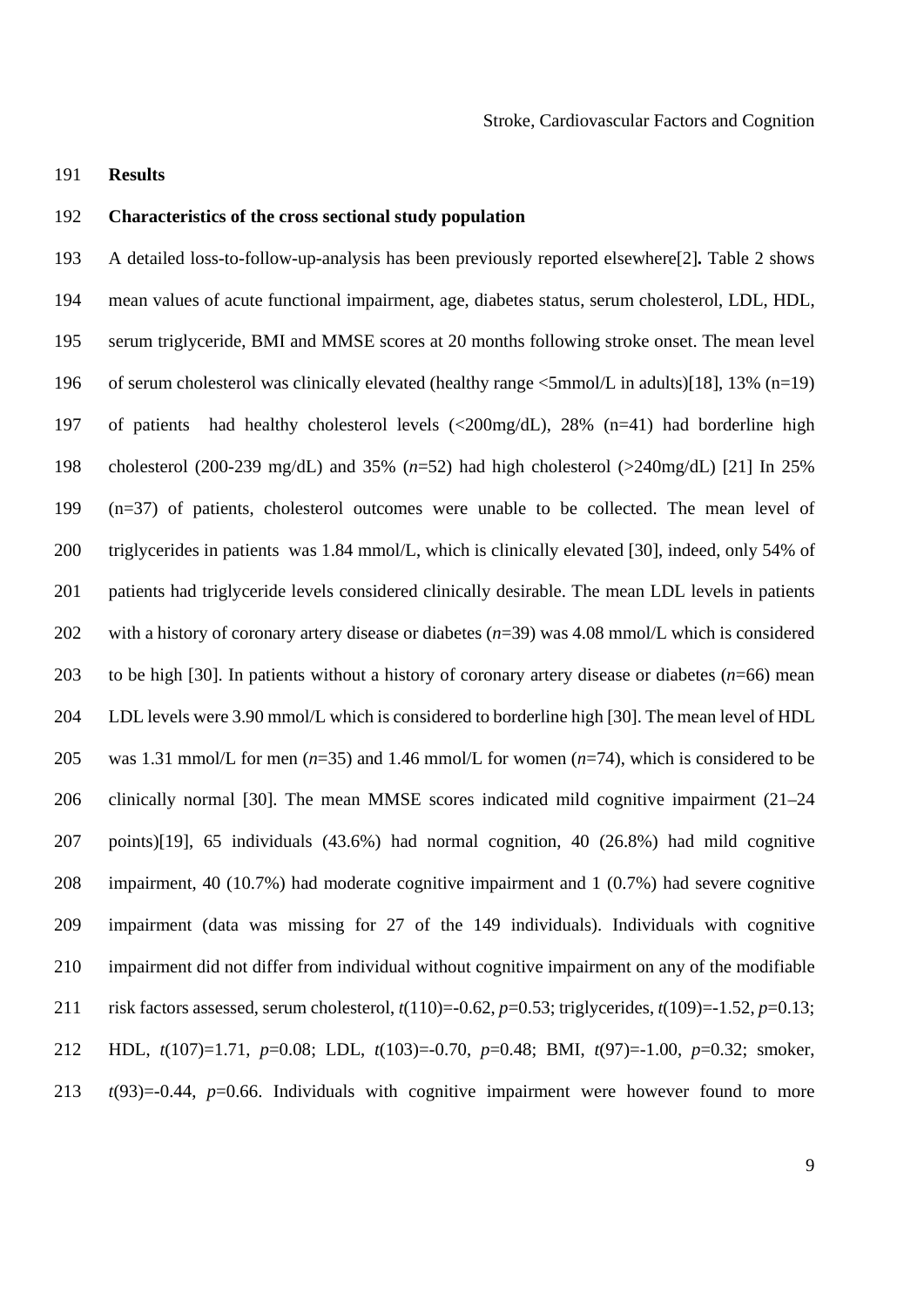191 **Results** 

## 192 **Characteristics of the cross sectional study population**

193 A detailed loss-to-follow-up-analysis has been previously reported elsewhere[2]**.** Table 2 shows 194 mean values of acute functional impairment, age, diabetes status, serum cholesterol, LDL, HDL, 195 serum triglyceride, BMI and MMSE scores at 20 months following stroke onset. The mean level 196 of serum cholesterol was clinically elevated (healthy range <5mmol/L in adults)[18], 13% (n=19) 197 of patients had healthy cholesterol levels (<200mg/dL), 28% (n=41) had borderline high 198 cholesterol (200-239 mg/dL) and 35% (*n*=52) had high cholesterol (>240mg/dL) [21] In 25% 199 (n=37) of patients, cholesterol outcomes were unable to be collected. The mean level of 200 triglycerides in patients was 1.84 mmol/L, which is clinically elevated [30], indeed, only 54% of 201 patients had triglyceride levels considered clinically desirable. The mean LDL levels in patients 202 with a history of coronary artery disease or diabetes (*n*=39) was 4.08 mmol/L which is considered 203 to be high [30]. In patients without a history of coronary artery disease or diabetes (*n*=66) mean 204 LDL levels were 3.90 mmol/L which is considered to borderline high [30]. The mean level of HDL 205 was 1.31 mmol/L for men (*n*=35) and 1.46 mmol/L for women (*n*=74), which is considered to be 206 clinically normal [30]. The mean MMSE scores indicated mild cognitive impairment (21–24 207 points)[19], 65 individuals (43.6%) had normal cognition, 40 (26.8%) had mild cognitive 208 impairment, 40 (10.7%) had moderate cognitive impairment and 1 (0.7%) had severe cognitive 209 impairment (data was missing for 27 of the 149 individuals). Individuals with cognitive 210 impairment did not differ from individual without cognitive impairment on any of the modifiable 211 risk factors assessed, serum cholesterol, *t*(110)=-0.62, *p*=0.53; triglycerides, *t*(109)=-1.52, *p*=0.13; 212 HDL, *t*(107)=1.71, *p*=0.08; LDL, *t*(103)=-0.70, *p*=0.48; BMI, *t*(97)=-1.00, *p*=0.32; smoker, 213 *t*(93)=-0.44, *p*=0.66. Individuals with cognitive impairment were however found to more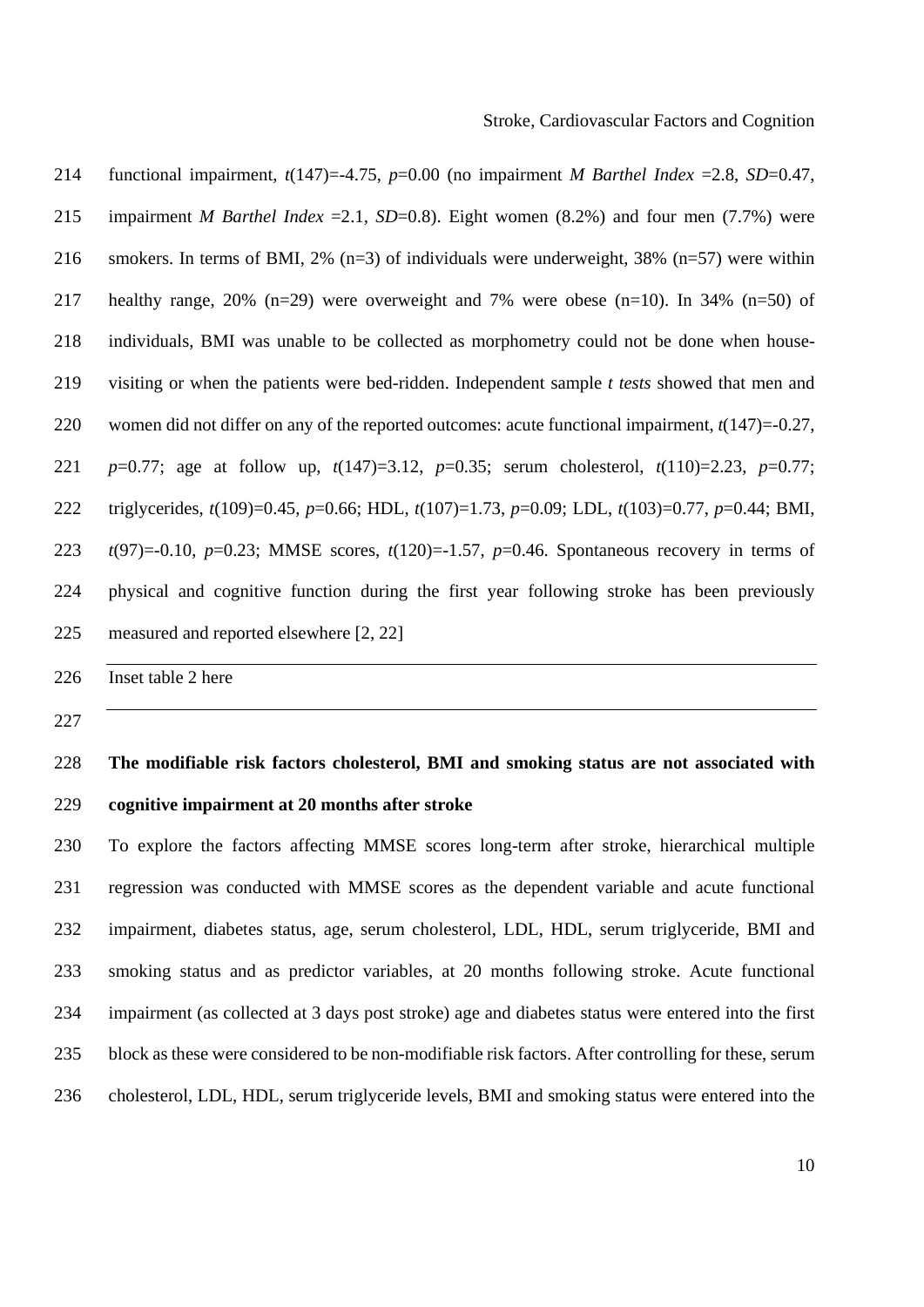| 214 | functional impairment, $t(147)=4.75$ , $p=0.00$ (no impairment <i>M Barthel Index = 2.8, SD=0.47,</i>          |
|-----|----------------------------------------------------------------------------------------------------------------|
| 215 | impairment <i>M Barthel Index</i> = 2.1, <i>SD</i> =0.8). Eight women $(8.2%)$ and four men $(7.7%)$ were      |
| 216 | smokers. In terms of BMI, 2% $(n=3)$ of individuals were underweight, 38% $(n=57)$ were within                 |
| 217 | healthy range, 20% (n=29) were overweight and 7% were obese (n=10). In 34% (n=50) of                           |
| 218 | individuals, BMI was unable to be collected as morphometry could not be done when house-                       |
| 219 | visiting or when the patients were bed-ridden. Independent sample <i>t tests</i> showed that men and           |
| 220 | women did not differ on any of the reported outcomes: acute functional impairment, $t(147)=0.27$ ,             |
| 221 | $p=0.77$ ; age at follow up, $t(147)=3.12$ , $p=0.35$ ; serum cholesterol, $t(110)=2.23$ , $p=0.77$ ;          |
| 222 | triglycerides, $t(109)=0.45$ , $p=0.66$ ; HDL, $t(107)=1.73$ , $p=0.09$ ; LDL, $t(103)=0.77$ , $p=0.44$ ; BMI, |
| 223 | $t(97)=0.10$ , $p=0.23$ ; MMSE scores, $t(120)=1.57$ , $p=0.46$ . Spontaneous recovery in terms of             |
| 224 | physical and cognitive function during the first year following stroke has been previously                     |
| 225 | measured and reported elsewhere [2, 22]                                                                        |

226 Inset table 2 here

227

# 228 **The modifiable risk factors cholesterol, BMI and smoking status are not associated with**  229 **cognitive impairment at 20 months after stroke**

230 To explore the factors affecting MMSE scores long-term after stroke, hierarchical multiple 231 regression was conducted with MMSE scores as the dependent variable and acute functional 232 impairment, diabetes status, age, serum cholesterol, LDL, HDL, serum triglyceride, BMI and 233 smoking status and as predictor variables, at 20 months following stroke. Acute functional 234 impairment (as collected at 3 days post stroke) age and diabetes status were entered into the first 235 block as these were considered to be non-modifiable risk factors. After controlling for these, serum 236 cholesterol, LDL, HDL, serum triglyceride levels, BMI and smoking status were entered into the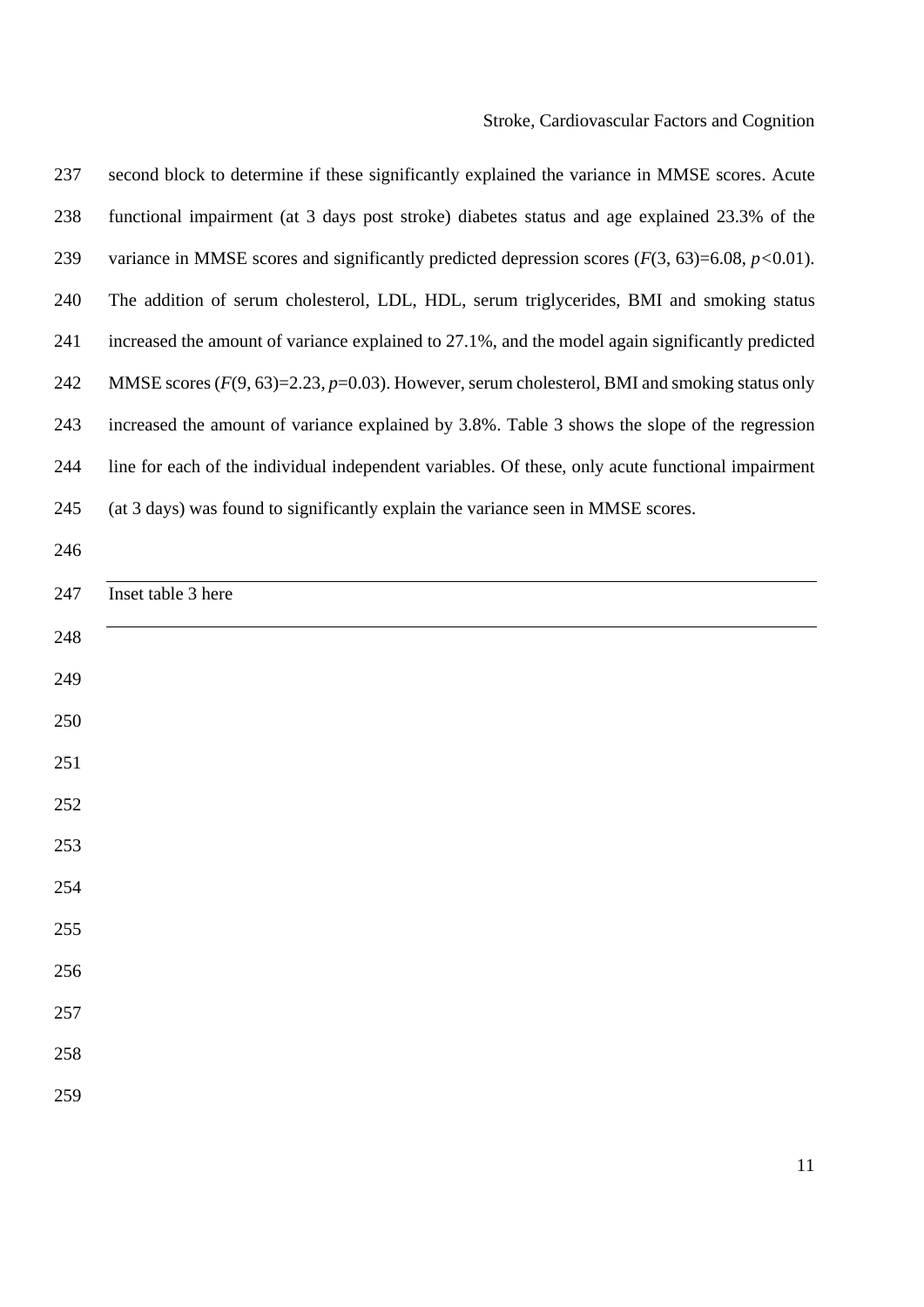| 237 | second block to determine if these significantly explained the variance in MMSE scores. Acute     |
|-----|---------------------------------------------------------------------------------------------------|
| 238 | functional impairment (at 3 days post stroke) diabetes status and age explained 23.3% of the      |
| 239 | variance in MMSE scores and significantly predicted depression scores $(F(3, 63)=6.08, p<0.01)$ . |
| 240 | The addition of serum cholesterol, LDL, HDL, serum triglycerides, BMI and smoking status          |
| 241 | increased the amount of variance explained to 27.1%, and the model again significantly predicted  |
| 242 | MMSE scores $(F(9, 63)=2.23, p=0.03)$ . However, serum cholesterol, BMI and smoking status only   |
| 243 | increased the amount of variance explained by 3.8%. Table 3 shows the slope of the regression     |
| 244 | line for each of the individual independent variables. Of these, only acute functional impairment |
| 245 | (at 3 days) was found to significantly explain the variance seen in MMSE scores.                  |
| 246 |                                                                                                   |
| 247 | Inset table 3 here                                                                                |
| 248 |                                                                                                   |
| 249 |                                                                                                   |
| 250 |                                                                                                   |
| 251 |                                                                                                   |
| 252 |                                                                                                   |
| 253 |                                                                                                   |
| 254 |                                                                                                   |
| 255 |                                                                                                   |
| 256 |                                                                                                   |
| 257 |                                                                                                   |
| 258 |                                                                                                   |
|     |                                                                                                   |
| 259 |                                                                                                   |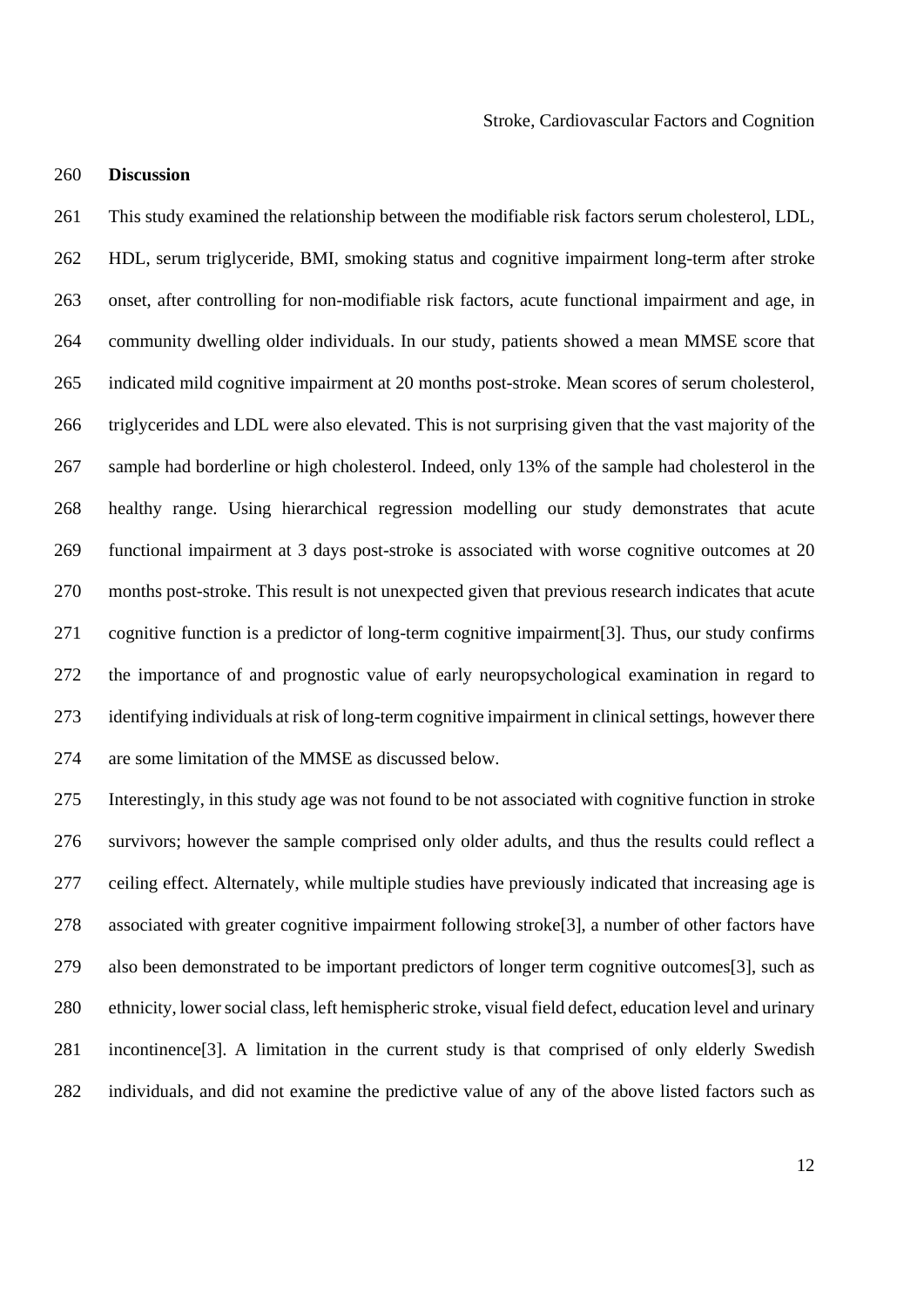### 260 **Discussion**

261 This study examined the relationship between the modifiable risk factors serum cholesterol, LDL, 262 HDL, serum triglyceride, BMI, smoking status and cognitive impairment long-term after stroke 263 onset, after controlling for non-modifiable risk factors, acute functional impairment and age, in 264 community dwelling older individuals. In our study, patients showed a mean MMSE score that 265 indicated mild cognitive impairment at 20 months post-stroke. Mean scores of serum cholesterol, 266 triglycerides and LDL were also elevated. This is not surprising given that the vast majority of the 267 sample had borderline or high cholesterol. Indeed, only 13% of the sample had cholesterol in the 268 healthy range. Using hierarchical regression modelling our study demonstrates that acute 269 functional impairment at 3 days post-stroke is associated with worse cognitive outcomes at 20 270 months post-stroke. This result is not unexpected given that previous research indicates that acute 271 cognitive function is a predictor of long-term cognitive impairment[3]. Thus, our study confirms 272 the importance of and prognostic value of early neuropsychological examination in regard to 273 identifying individuals at risk of long-term cognitive impairment in clinical settings, however there 274 are some limitation of the MMSE as discussed below.

275 Interestingly, in this study age was not found to be not associated with cognitive function in stroke 276 survivors; however the sample comprised only older adults, and thus the results could reflect a 277 ceiling effect. Alternately, while multiple studies have previously indicated that increasing age is 278 associated with greater cognitive impairment following stroke[3], a number of other factors have 279 also been demonstrated to be important predictors of longer term cognitive outcomes[3], such as 280 ethnicity, lower social class, left hemispheric stroke, visual field defect, education level and urinary 281 incontinence[3]. A limitation in the current study is that comprised of only elderly Swedish 282 individuals, and did not examine the predictive value of any of the above listed factors such as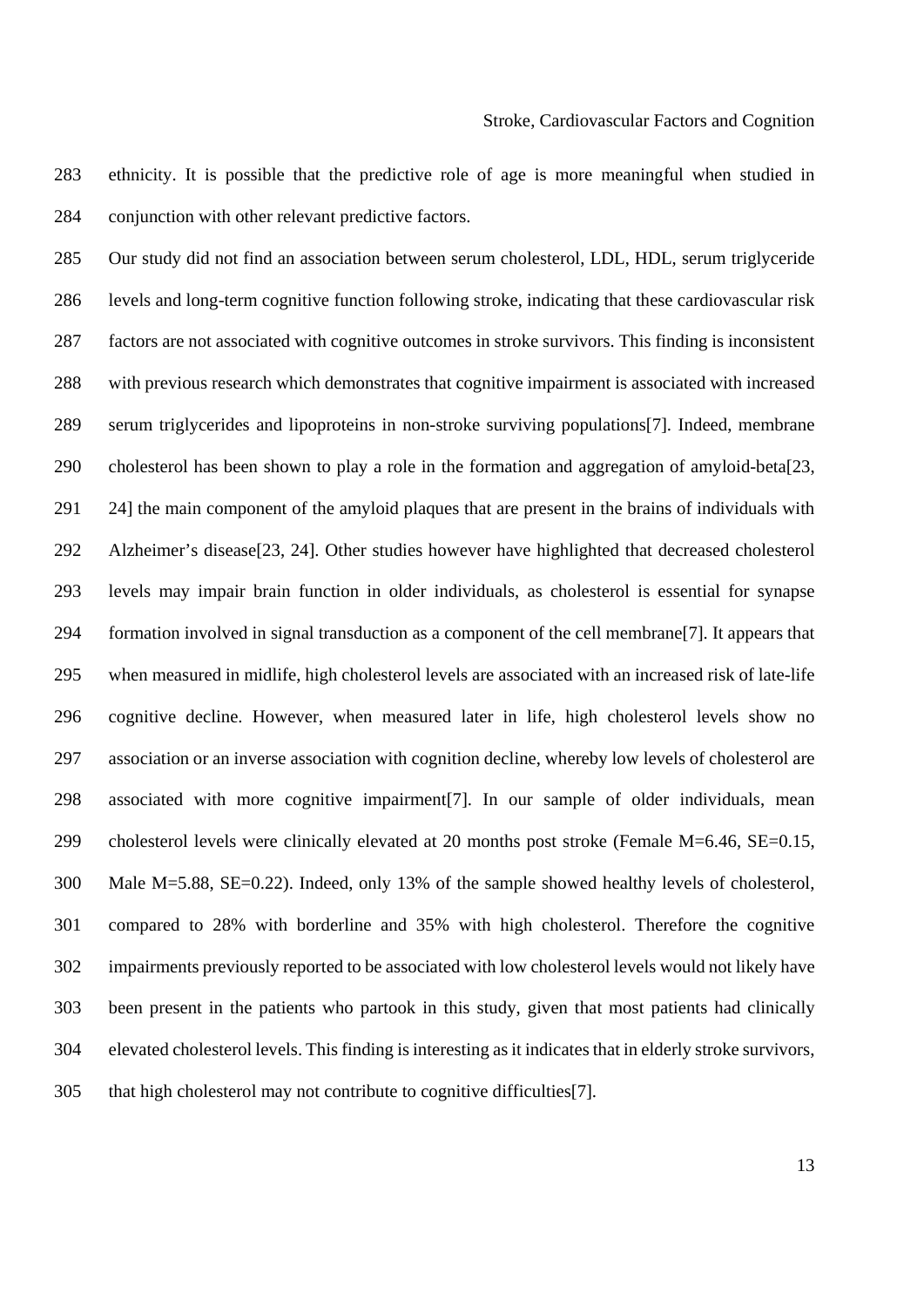283 ethnicity. It is possible that the predictive role of age is more meaningful when studied in 284 conjunction with other relevant predictive factors.

285 Our study did not find an association between serum cholesterol, LDL, HDL, serum triglyceride 286 levels and long-term cognitive function following stroke, indicating that these cardiovascular risk 287 factors are not associated with cognitive outcomes in stroke survivors. This finding is inconsistent 288 with previous research which demonstrates that cognitive impairment is associated with increased 289 serum triglycerides and lipoproteins in non-stroke surviving populations[7]. Indeed, membrane 290 cholesterol has been shown to play a role in the formation and aggregation of amyloid-beta[23, 291 24] the main component of the amyloid plaques that are present in the brains of individuals with 292 Alzheimer's disease[23, 24]. Other studies however have highlighted that decreased cholesterol 293 levels may impair brain function in older individuals, as cholesterol is essential for synapse 294 formation involved in signal transduction as a component of the cell membrane[7]. It appears that 295 when measured in midlife, high cholesterol levels are associated with an increased risk of late-life 296 cognitive decline. However, when measured later in life, high cholesterol levels show no 297 association or an inverse association with cognition decline, whereby low levels of cholesterol are 298 associated with more cognitive impairment[7]. In our sample of older individuals, mean 299 cholesterol levels were clinically elevated at 20 months post stroke (Female M=6.46, SE=0.15, 300 Male M=5.88, SE=0.22). Indeed, only 13% of the sample showed healthy levels of cholesterol, 301 compared to 28% with borderline and 35% with high cholesterol. Therefore the cognitive 302 impairments previously reported to be associated with low cholesterol levels would not likely have 303 been present in the patients who partook in this study, given that most patients had clinically 304 elevated cholesterol levels. This finding is interesting as it indicates that in elderly stroke survivors, 305 that high cholesterol may not contribute to cognitive difficulties[7].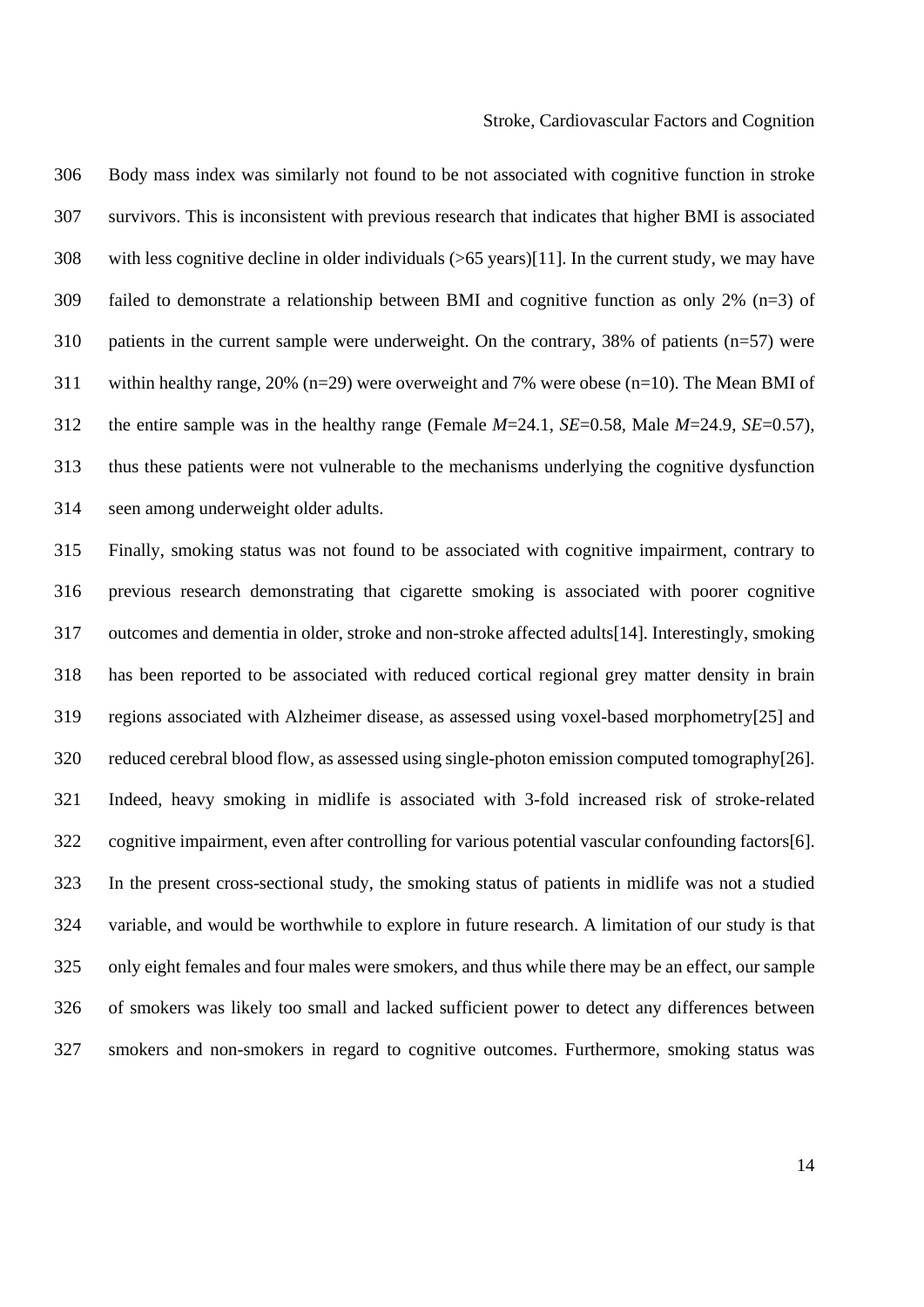306 Body mass index was similarly not found to be not associated with cognitive function in stroke 307 survivors. This is inconsistent with previous research that indicates that higher BMI is associated 308 with less cognitive decline in older individuals (>65 years)[11]. In the current study, we may have 309 failed to demonstrate a relationship between BMI and cognitive function as only 2% (n=3) of 310 patients in the current sample were underweight. On the contrary, 38% of patients (n=57) were 311 within healthy range, 20% (n=29) were overweight and 7% were obese (n=10). The Mean BMI of 312 the entire sample was in the healthy range (Female *M*=24.1, *SE*=0.58, Male *M*=24.9, *SE*=0.57), 313 thus these patients were not vulnerable to the mechanisms underlying the cognitive dysfunction 314 seen among underweight older adults.

315 Finally, smoking status was not found to be associated with cognitive impairment, contrary to 316 previous research demonstrating that cigarette smoking is associated with poorer cognitive 317 outcomes and dementia in older, stroke and non-stroke affected adults[14]. Interestingly, smoking 318 has been reported to be associated with reduced cortical regional grey matter density in brain 319 regions associated with Alzheimer disease, as assessed using voxel-based morphometry[25] and 320 reduced cerebral blood flow, as assessed using single-photon emission computed tomography[26]. 321 Indeed, heavy smoking in midlife is associated with 3-fold increased risk of stroke-related 322 cognitive impairment, even after controlling for various potential vascular confounding factors[6]. 323 In the present cross-sectional study, the smoking status of patients in midlife was not a studied 324 variable, and would be worthwhile to explore in future research. A limitation of our study is that 325 only eight females and four males were smokers, and thus while there may be an effect, our sample 326 of smokers was likely too small and lacked sufficient power to detect any differences between 327 smokers and non-smokers in regard to cognitive outcomes. Furthermore, smoking status was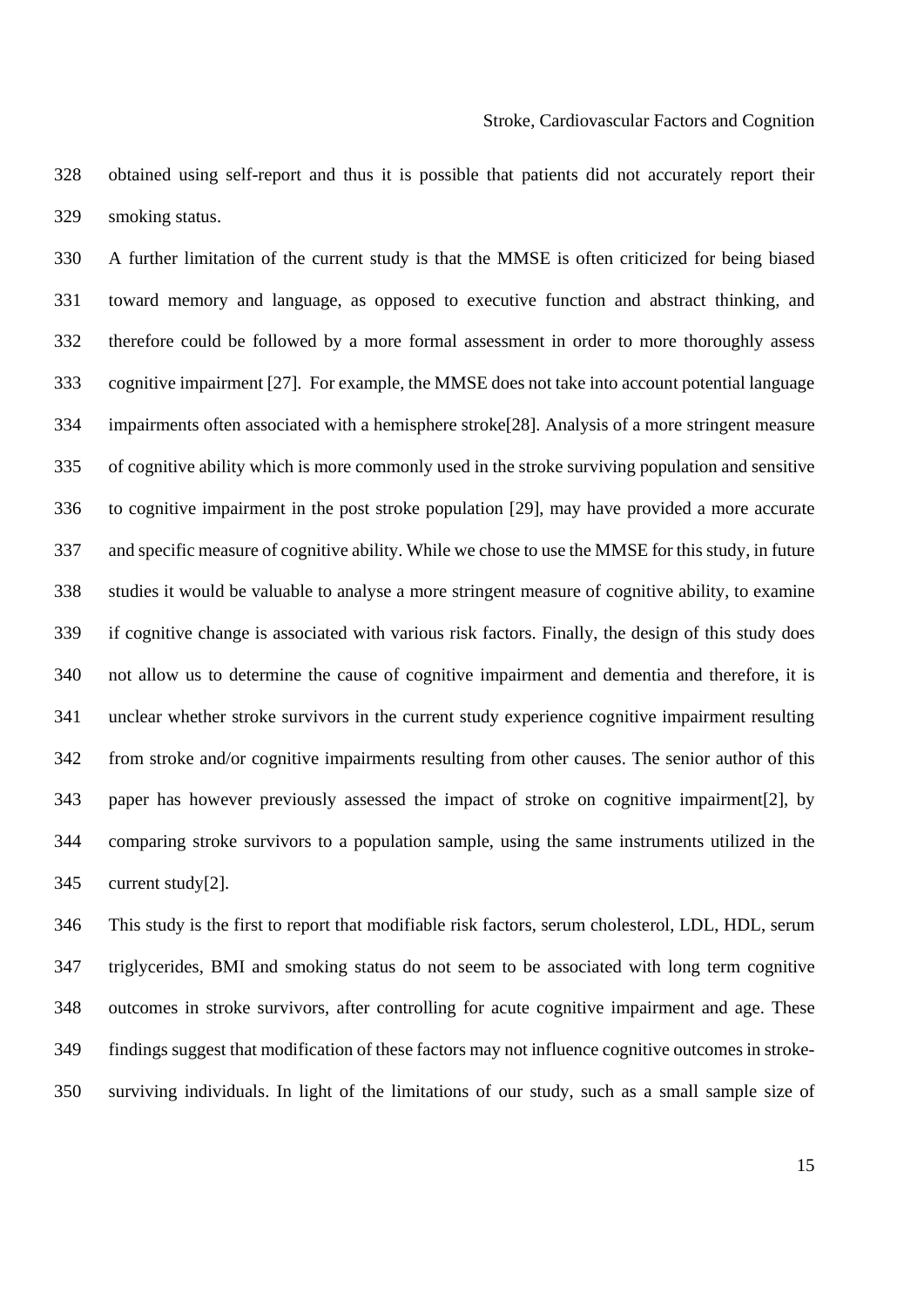328 obtained using self-report and thus it is possible that patients did not accurately report their 329 smoking status.

330 A further limitation of the current study is that the MMSE is often criticized for being biased 331 toward memory and language, as opposed to executive function and abstract thinking, and 332 therefore could be followed by a more formal assessment in order to more thoroughly assess 333 cognitive impairment [27]. For example, the MMSE does not take into account potential language 334 impairments often associated with a hemisphere stroke[28]. Analysis of a more stringent measure 335 of cognitive ability which is more commonly used in the stroke surviving population and sensitive 336 to cognitive impairment in the post stroke population [29], may have provided a more accurate 337 and specific measure of cognitive ability. While we chose to use the MMSE for this study, in future 338 studies it would be valuable to analyse a more stringent measure of cognitive ability, to examine 339 if cognitive change is associated with various risk factors. Finally, the design of this study does 340 not allow us to determine the cause of cognitive impairment and dementia and therefore, it is 341 unclear whether stroke survivors in the current study experience cognitive impairment resulting 342 from stroke and/or cognitive impairments resulting from other causes. The senior author of this 343 paper has however previously assessed the impact of stroke on cognitive impairment[2], by 344 comparing stroke survivors to a population sample, using the same instruments utilized in the 345 current study[2].

346 This study is the first to report that modifiable risk factors, serum cholesterol, LDL, HDL, serum 347 triglycerides, BMI and smoking status do not seem to be associated with long term cognitive 348 outcomes in stroke survivors, after controlling for acute cognitive impairment and age. These 349 findings suggest that modification of these factors may not influence cognitive outcomes in stroke-350 surviving individuals. In light of the limitations of our study, such as a small sample size of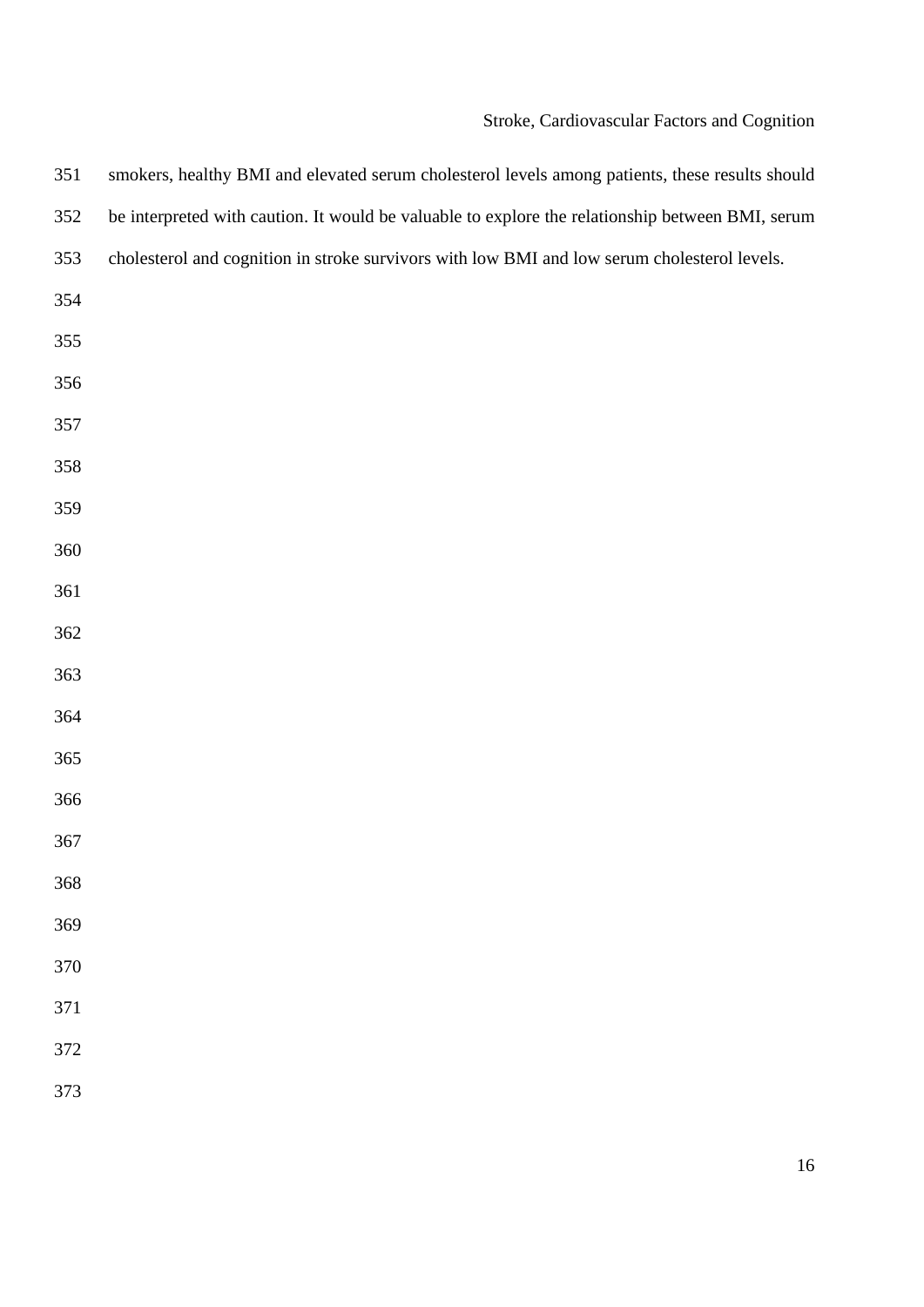# Stroke, Cardiovascular Factors and Cognition

| 351 | smokers, healthy BMI and elevated serum cholesterol levels among patients, these results should  |
|-----|--------------------------------------------------------------------------------------------------|
| 352 | be interpreted with caution. It would be valuable to explore the relationship between BMI, serum |
| 353 | cholesterol and cognition in stroke survivors with low BMI and low serum cholesterol levels.     |
| 354 |                                                                                                  |
| 355 |                                                                                                  |
| 356 |                                                                                                  |
| 357 |                                                                                                  |
| 358 |                                                                                                  |
| 359 |                                                                                                  |
| 360 |                                                                                                  |
| 361 |                                                                                                  |
| 362 |                                                                                                  |
| 363 |                                                                                                  |
| 364 |                                                                                                  |
| 365 |                                                                                                  |
| 366 |                                                                                                  |
| 367 |                                                                                                  |
| 368 |                                                                                                  |
| 369 |                                                                                                  |
| 370 |                                                                                                  |
| 371 |                                                                                                  |
| 372 |                                                                                                  |
| 373 |                                                                                                  |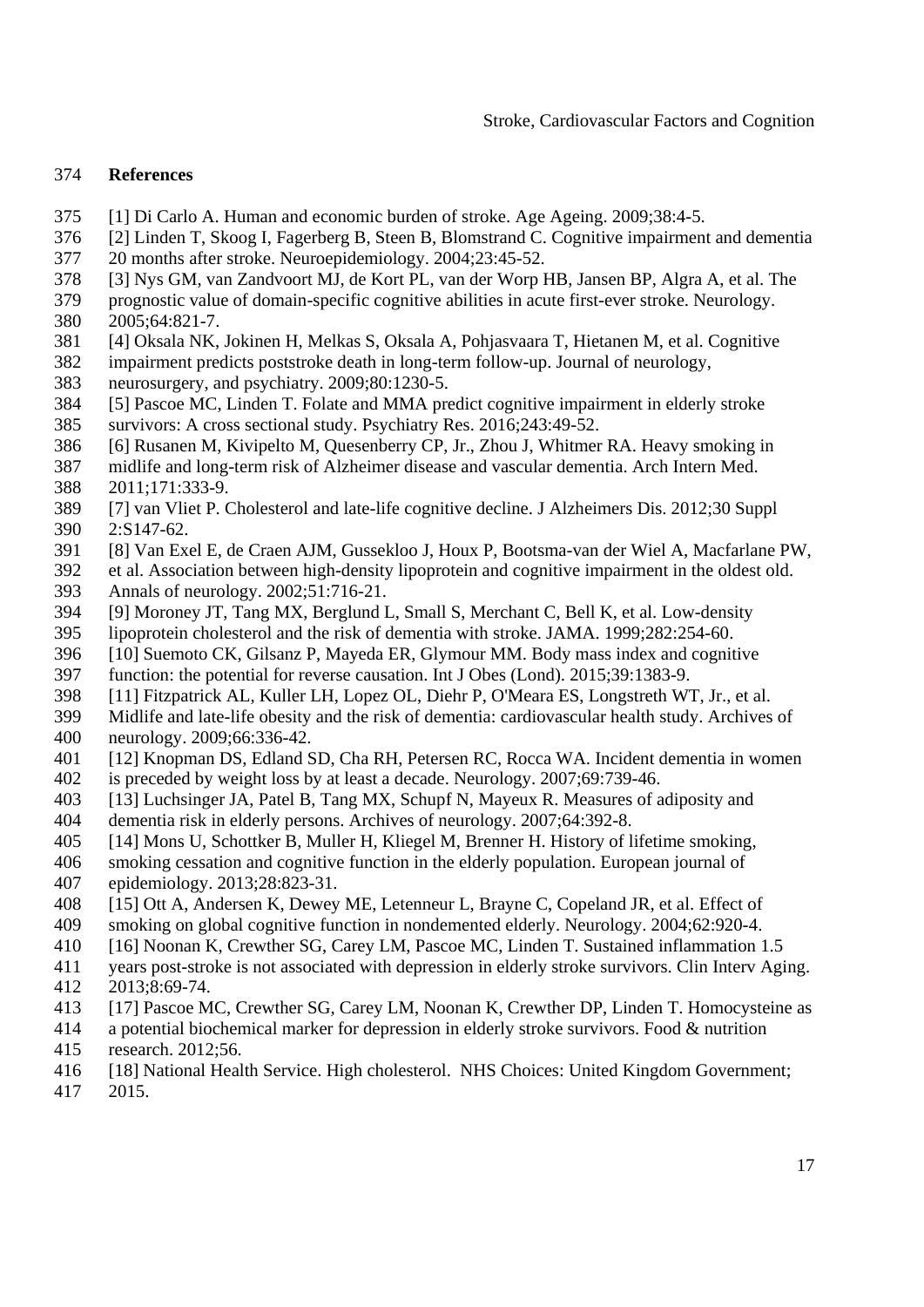# 374 **References**

- 375 [1] Di Carlo A. Human and economic burden of stroke. Age Ageing. 2009;38:4-5.
- 376 [2] Linden T, Skoog I, Fagerberg B, Steen B, Blomstrand C. Cognitive impairment and dementia
- 377 20 months after stroke. Neuroepidemiology. 2004;23:45-52.
- 378 [3] Nys GM, van Zandvoort MJ, de Kort PL, van der Worp HB, Jansen BP, Algra A, et al. The
- 379 prognostic value of domain-specific cognitive abilities in acute first-ever stroke. Neurology. 380 2005;64:821-7.
- 381 [4] Oksala NK, Jokinen H, Melkas S, Oksala A, Pohjasvaara T, Hietanen M, et al. Cognitive

382 impairment predicts poststroke death in long-term follow-up. Journal of neurology,

- 383 neurosurgery, and psychiatry. 2009;80:1230-5.
- 384 [5] Pascoe MC, Linden T. Folate and MMA predict cognitive impairment in elderly stroke
- 385 survivors: A cross sectional study. Psychiatry Res. 2016;243:49-52.
- 386 [6] Rusanen M, Kivipelto M, Quesenberry CP, Jr., Zhou J, Whitmer RA. Heavy smoking in
- 387 midlife and long-term risk of Alzheimer disease and vascular dementia. Arch Intern Med. 388 2011;171:333-9.
- 389 [7] van Vliet P. Cholesterol and late-life cognitive decline. J Alzheimers Dis. 2012;30 Suppl 390 2:S147-62.
- 391 [8] Van Exel E, de Craen AJM, Gussekloo J, Houx P, Bootsma-van der Wiel A, Macfarlane PW,
- 392 et al. Association between high-density lipoprotein and cognitive impairment in the oldest old. 393 Annals of neurology. 2002;51:716-21.
- 394 [9] Moroney JT, Tang MX, Berglund L, Small S, Merchant C, Bell K, et al. Low-density
- 395 lipoprotein cholesterol and the risk of dementia with stroke. JAMA. 1999;282:254-60.
- 396 [10] Suemoto CK, Gilsanz P, Mayeda ER, Glymour MM. Body mass index and cognitive
- 397 function: the potential for reverse causation. Int J Obes (Lond). 2015;39:1383-9.
- 398 [11] Fitzpatrick AL, Kuller LH, Lopez OL, Diehr P, O'Meara ES, Longstreth WT, Jr., et al.
- 399 Midlife and late-life obesity and the risk of dementia: cardiovascular health study. Archives of
- 400 neurology. 2009;66:336-42.
- 401 [12] Knopman DS, Edland SD, Cha RH, Petersen RC, Rocca WA. Incident dementia in women 402 is preceded by weight loss by at least a decade. Neurology. 2007;69:739-46.
- 403 [13] Luchsinger JA, Patel B, Tang MX, Schupf N, Mayeux R. Measures of adiposity and
- 404 dementia risk in elderly persons. Archives of neurology. 2007;64:392-8.
- 405 [14] Mons U, Schottker B, Muller H, Kliegel M, Brenner H. History of lifetime smoking,
- 406 smoking cessation and cognitive function in the elderly population. European journal of
- 407 epidemiology. 2013;28:823-31.
- 408 [15] Ott A, Andersen K, Dewey ME, Letenneur L, Brayne C, Copeland JR, et al. Effect of 409 smoking on global cognitive function in nondemented elderly. Neurology. 2004;62:920-4.
- 410 [16] Noonan K, Crewther SG, Carey LM, Pascoe MC, Linden T. Sustained inflammation 1.5
- 411 years post-stroke is not associated with depression in elderly stroke survivors. Clin Interv Aging.
- 412 2013;8:69-74.
- 413 [17] Pascoe MC, Crewther SG, Carey LM, Noonan K, Crewther DP, Linden T. Homocysteine as
- 414 a potential biochemical marker for depression in elderly stroke survivors. Food & nutrition 415 research. 2012;56.
- 416 [18] National Health Service. High cholesterol. NHS Choices: United Kingdom Government;
- 417 2015.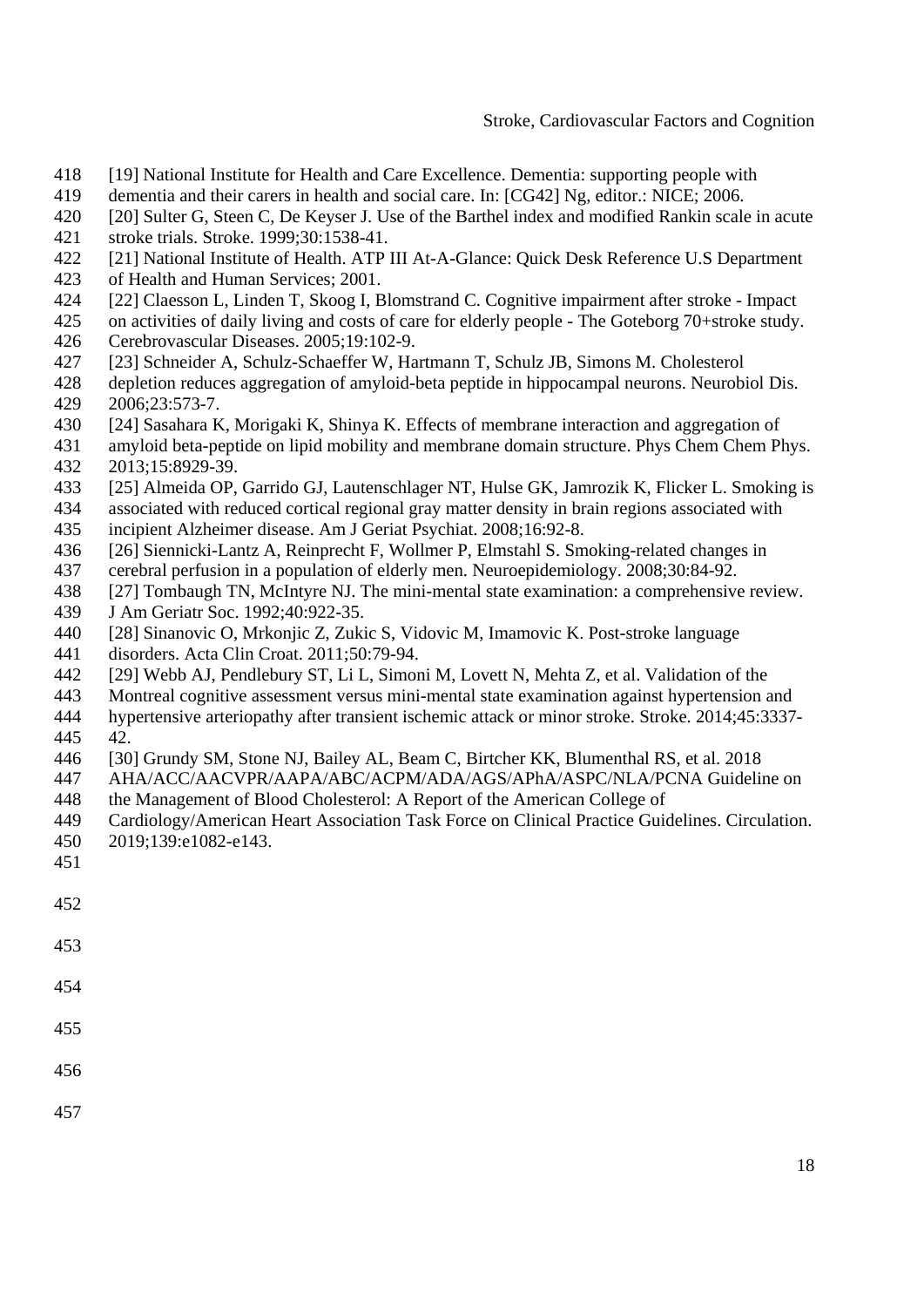- 418 [19] National Institute for Health and Care Excellence. Dementia: supporting people with
- 419 dementia and their carers in health and social care. In: [CG42] Ng, editor.: NICE; 2006.
- 420 [20] Sulter G, Steen C, De Keyser J. Use of the Barthel index and modified Rankin scale in acute
- 421 stroke trials. Stroke. 1999;30:1538-41.
- 422 [21] National Institute of Health. ATP III At-A-Glance: Quick Desk Reference U.S Department
- 423 of Health and Human Services; 2001.
- 424 [22] Claesson L, Linden T, Skoog I, Blomstrand C. Cognitive impairment after stroke Impact
- 425 on activities of daily living and costs of care for elderly people The Goteborg 70+stroke study.
- 426 Cerebrovascular Diseases. 2005;19:102-9.
- 427 [23] Schneider A, Schulz-Schaeffer W, Hartmann T, Schulz JB, Simons M. Cholesterol
- 428 depletion reduces aggregation of amyloid-beta peptide in hippocampal neurons. Neurobiol Dis. 429 2006;23:573-7.
- 430 [24] Sasahara K, Morigaki K, Shinya K. Effects of membrane interaction and aggregation of
- 431 amyloid beta-peptide on lipid mobility and membrane domain structure. Phys Chem Chem Phys.
- 432 2013;15:8929-39.
- 433 [25] Almeida OP, Garrido GJ, Lautenschlager NT, Hulse GK, Jamrozik K, Flicker L. Smoking is
- 434 associated with reduced cortical regional gray matter density in brain regions associated with
- 435 incipient Alzheimer disease. Am J Geriat Psychiat. 2008;16:92-8.
- 436 [26] Siennicki-Lantz A, Reinprecht F, Wollmer P, Elmstahl S. Smoking-related changes in
- 437 cerebral perfusion in a population of elderly men. Neuroepidemiology. 2008;30:84-92.
- 438 [27] Tombaugh TN, McIntyre NJ. The mini-mental state examination: a comprehensive review.
- 439 J Am Geriatr Soc. 1992;40:922-35.
- 440 [28] Sinanovic O, Mrkonjic Z, Zukic S, Vidovic M, Imamovic K. Post-stroke language
- 441 disorders. Acta Clin Croat. 2011;50:79-94.
- 442 [29] Webb AJ, Pendlebury ST, Li L, Simoni M, Lovett N, Mehta Z, et al. Validation of the
- 443 Montreal cognitive assessment versus mini-mental state examination against hypertension and
- 444 hypertensive arteriopathy after transient ischemic attack or minor stroke. Stroke. 2014;45:3337- 445 42.
- 446 [30] Grundy SM, Stone NJ, Bailey AL, Beam C, Birtcher KK, Blumenthal RS, et al. 2018
- 447 AHA/ACC/AACVPR/AAPA/ABC/ACPM/ADA/AGS/APhA/ASPC/NLA/PCNA Guideline on
- 448 the Management of Blood Cholesterol: A Report of the American College of
- 449 Cardiology/American Heart Association Task Force on Clinical Practice Guidelines. Circulation.
- 450 2019;139:e1082-e143.
- 451
- 452

- 
- 454
- 455
- 456
- 457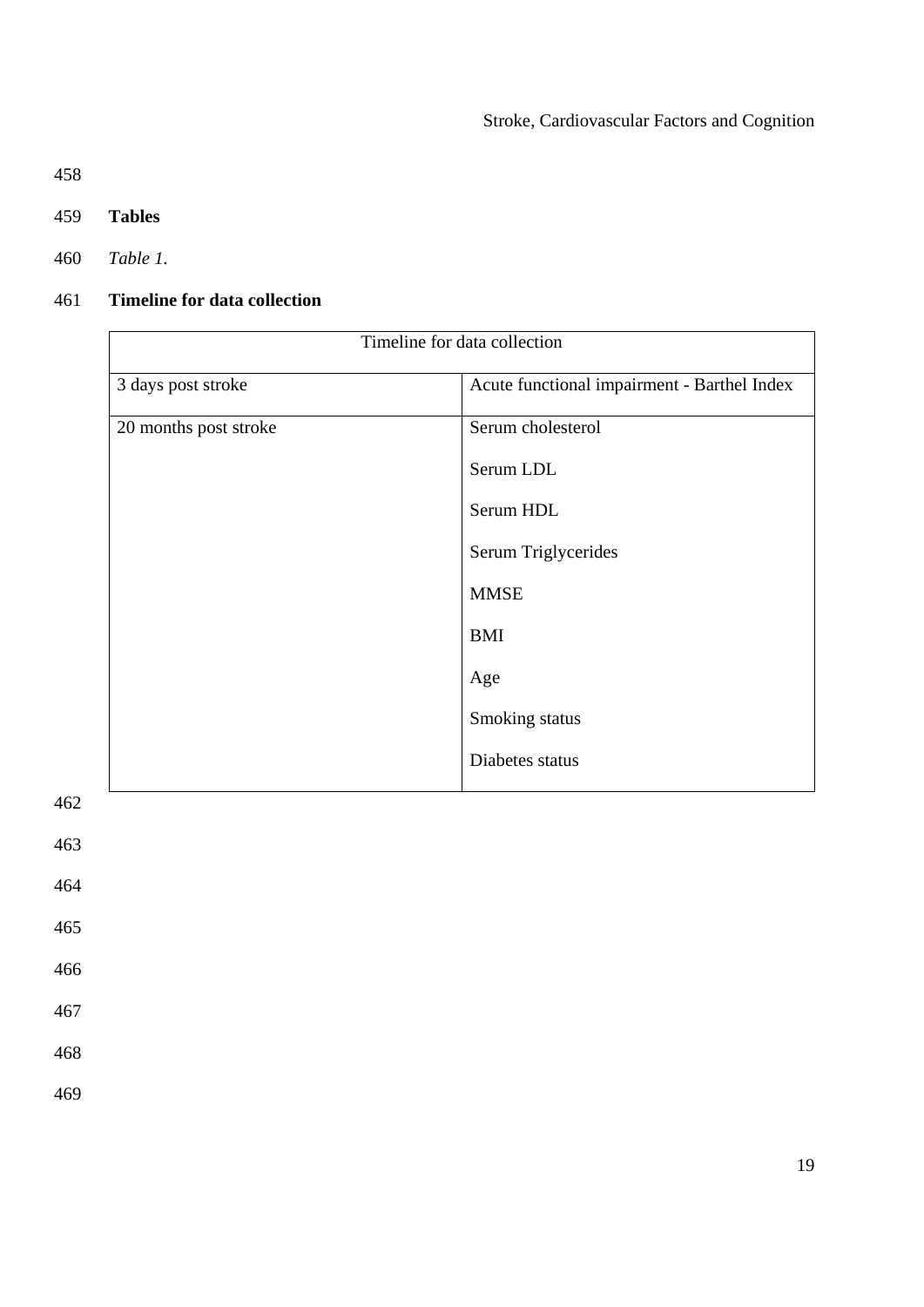458

- 459 **Tables**
- 460 *Table 1.*

# 461 **Timeline for data collection**

| Timeline for data collection |                                             |  |  |  |
|------------------------------|---------------------------------------------|--|--|--|
| 3 days post stroke           | Acute functional impairment - Barthel Index |  |  |  |
| 20 months post stroke        | Serum cholesterol                           |  |  |  |
|                              | Serum LDL                                   |  |  |  |
|                              | Serum HDL                                   |  |  |  |
|                              | Serum Triglycerides                         |  |  |  |
|                              | <b>MMSE</b>                                 |  |  |  |
|                              | <b>BMI</b>                                  |  |  |  |
|                              | Age                                         |  |  |  |
|                              | Smoking status                              |  |  |  |
|                              | Diabetes status                             |  |  |  |

462

463

464

465

466

467

468

469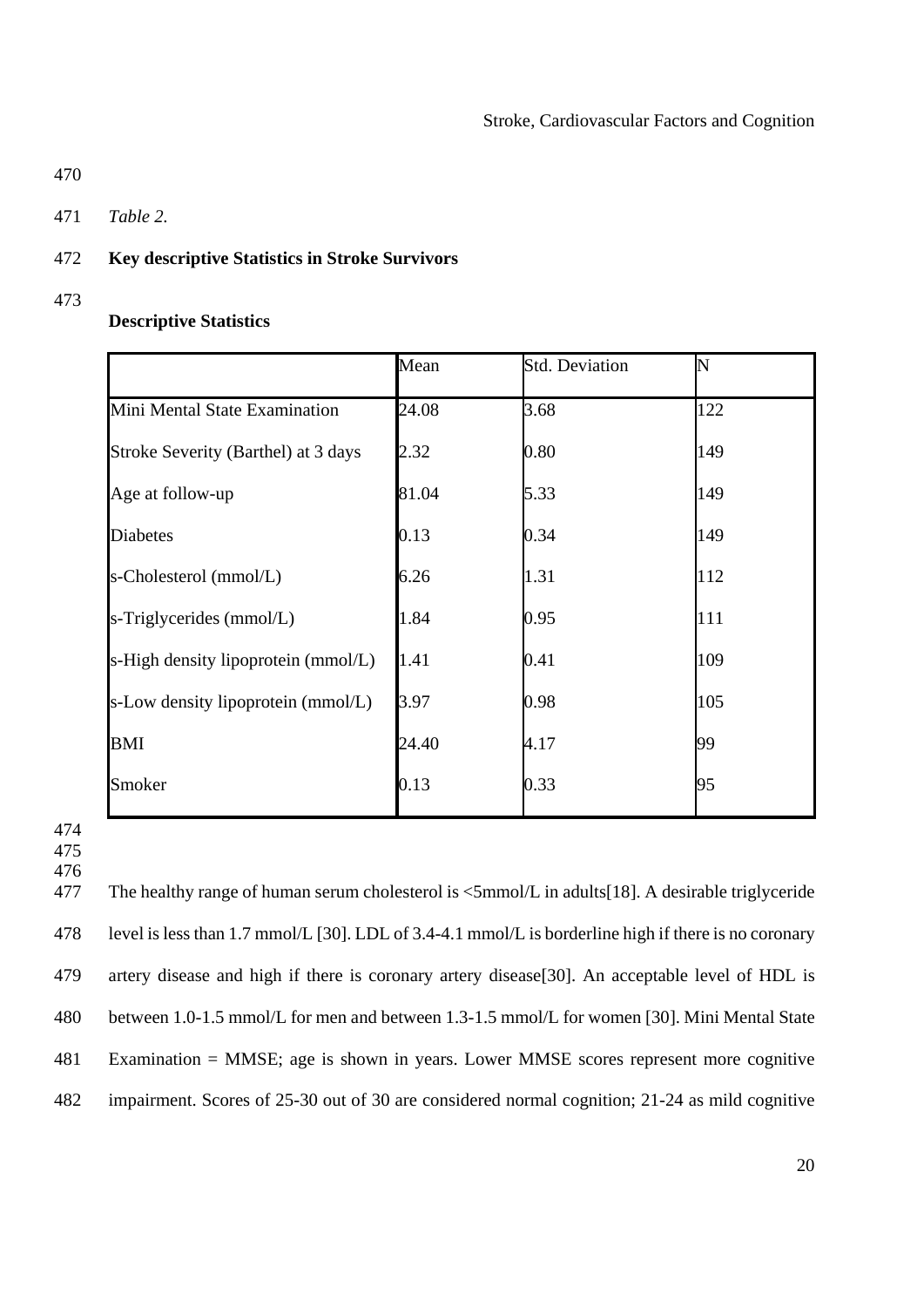- 470
- 471 *Table 2.*

## 472 **Key descriptive Statistics in Stroke Survivors**

473

# **Descriptive Statistics**

|                                     | Mean  | <b>Std. Deviation</b> | N   |
|-------------------------------------|-------|-----------------------|-----|
| Mini Mental State Examination       | 24.08 | 3.68                  | 122 |
| Stroke Severity (Barthel) at 3 days | 2.32  | 0.80                  | 149 |
| Age at follow-up                    | 81.04 | 5.33                  | 149 |
| <b>Diabetes</b>                     | 0.13  | 0.34                  | 149 |
| s-Cholesterol (mmol/L)              | 6.26  | 1.31                  | 112 |
| s-Triglycerides (mmol/L)            | 1.84  | 0.95                  | 111 |
| s-High density lipoprotein (mmol/L) | 1.41  | 0.41                  | 109 |
| s-Low density lipoprotein (mmol/L)  | 3.97  | 0.98                  | 105 |
| <b>BMI</b>                          | 24.40 | 4.17                  | 99  |
| Smoker                              | 0.13  | 0.33                  | 95  |

474

475 476

477 The healthy range of human serum cholesterol is <5mmol/L in adults[18]. A desirable triglyceride 478 level is less than 1.7 mmol/L [30]. LDL of 3.4-4.1 mmol/L is borderline high if there is no coronary 479 artery disease and high if there is coronary artery disease[30]. An acceptable level of HDL is 480 between 1.0-1.5 mmol/L for men and between 1.3-1.5 mmol/L for women [30]. Mini Mental State 481 Examination = MMSE; age is shown in years. Lower MMSE scores represent more cognitive 482 impairment. Scores of 25-30 out of 30 are considered normal cognition; 21-24 as mild cognitive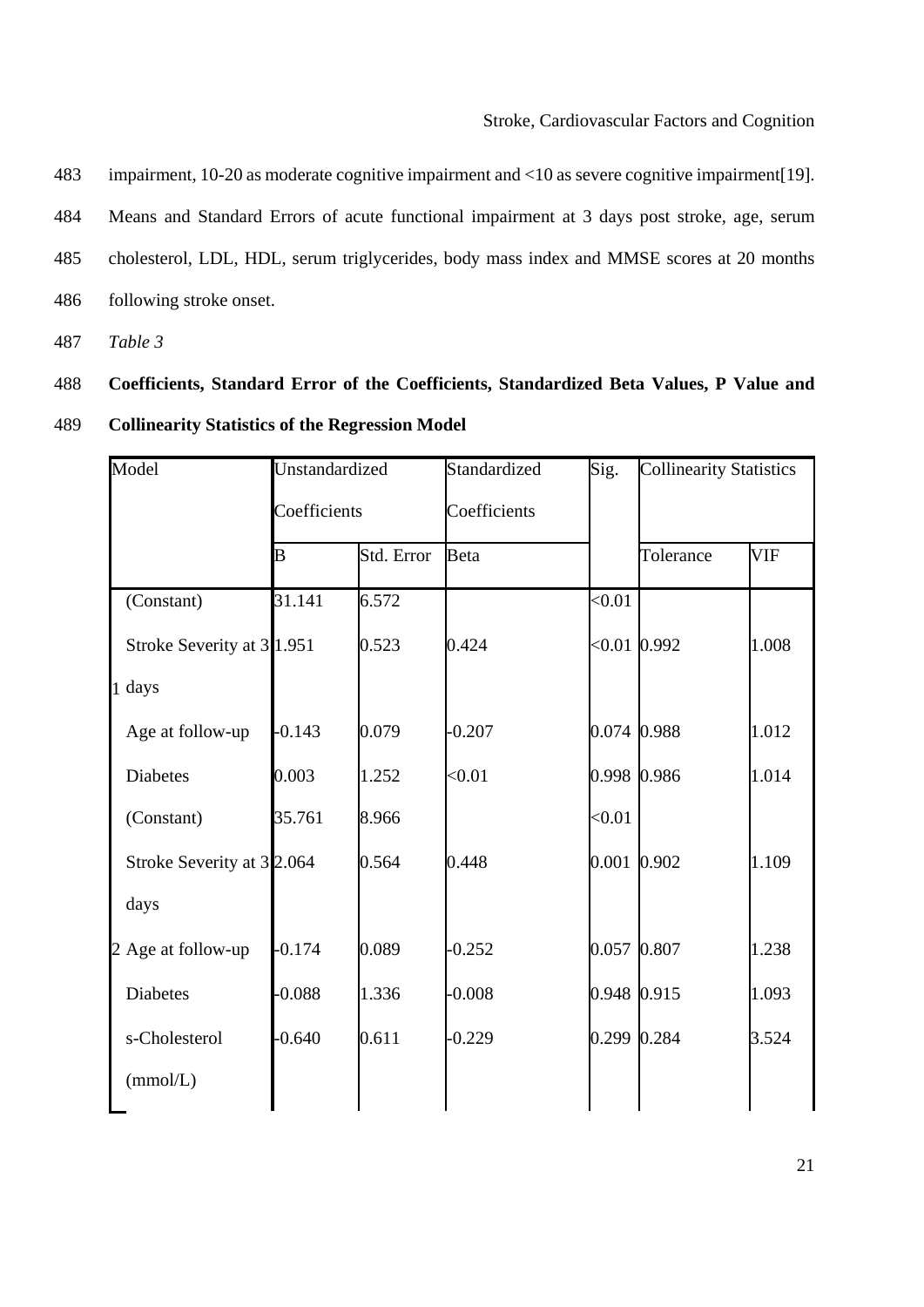483 impairment, 10-20 as moderate cognitive impairment and <10 as severe cognitive impairment[19]. 484 Means and Standard Errors of acute functional impairment at 3 days post stroke, age, serum 485 cholesterol, LDL, HDL, serum triglycerides, body mass index and MMSE scores at 20 months 486 following stroke onset.

487 *Table 3* 

# 488 **Coefficients, Standard Error of the Coefficients, Standardized Beta Values, P Value and**  489 **Collinearity Statistics of the Regression Model**

| Model                      | Unstandardized<br>Coefficients |            | Standardized | Sig.           | <b>Collinearity Statistics</b> |            |
|----------------------------|--------------------------------|------------|--------------|----------------|--------------------------------|------------|
|                            |                                |            | Coefficients |                |                                |            |
|                            | B                              | Std. Error | <b>Beta</b>  |                | Tolerance                      | <b>VIF</b> |
| (Constant)                 | 31.141                         | 6.572      |              | < 0.01         |                                |            |
| Stroke Severity at 3 1.951 |                                | 0.523      | 0.424        | $< 0.01$ 0.992 |                                | 1.008      |
| 1 days                     |                                |            |              |                |                                |            |
| Age at follow-up           | $-0.143$                       | 0.079      | $-0.207$     | 0.074 0.988    |                                | 1.012      |
| <b>Diabetes</b>            | 0.003                          | 1.252      | < 0.01       | 0.998 0.986    |                                | 1.014      |
| (Constant)                 | 35.761                         | 8.966      |              | < 0.01         |                                |            |
| Stroke Severity at 32.064  |                                | 0.564      | 0.448        | 0.001 0.902    |                                | 1.109      |
| days                       |                                |            |              |                |                                |            |
| 2 Age at follow-up         | $-0.174$                       | 0.089      | $-0.252$     | 0.057 0.807    |                                | 1.238      |
| <b>Diabetes</b>            | $-0.088$                       | 1.336      | $-0.008$     | 0.948 0.915    |                                | 1.093      |
| s-Cholesterol              | $-0.640$                       | 0.611      | $-0.229$     | 0.299 0.284    |                                | 3.524      |
| (mmol/L)                   |                                |            |              |                |                                |            |